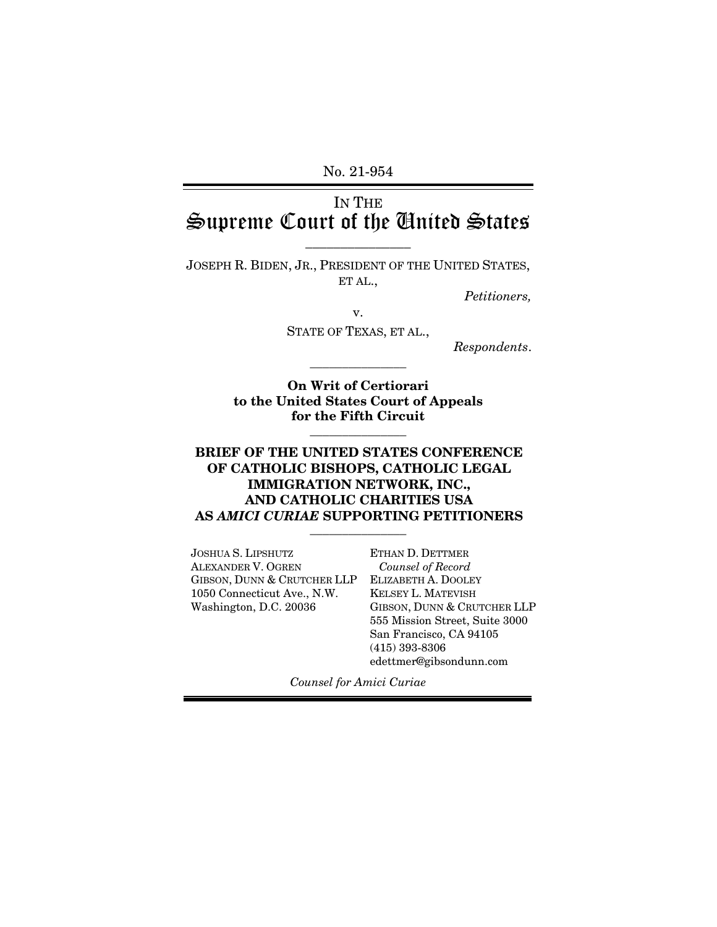No. 21-954

# IN THE Supreme Court of the United States

\_\_\_\_\_\_\_\_\_\_\_\_\_\_\_

JOSEPH R. BIDEN, JR., PRESIDENT OF THE UNITED STATES, ET AL.,

*Petitioners,* 

v.

STATE OF TEXAS, ET AL.,

\_\_\_\_\_\_\_\_\_\_\_\_\_\_\_

*Respondents*.

**On Writ of Certiorari to the United States Court of Appeals for the Fifth Circuit** 

\_\_\_\_\_\_\_\_\_\_\_\_\_\_\_

### **BRIEF OF THE UNITED STATES CONFERENCE OF CATHOLIC BISHOPS, CATHOLIC LEGAL IMMIGRATION NETWORK, INC., AND CATHOLIC CHARITIES USA AS** *AMICI CURIAE* **SUPPORTING PETITIONERS**

\_\_\_\_\_\_\_\_\_\_\_\_\_\_\_

JOSHUA S. LIPSHUTZ ALEXANDER V. OGREN GIBSON, DUNN & CRUTCHER LLP 1050 Connecticut Ave., N.W. Washington, D.C. 20036

ETHAN D. DETTMER  *Counsel of Record*  ELIZABETH A. DOOLEY KELSEY L. MATEVISH GIBSON, DUNN & CRUTCHER LLP 555 Mission Street, Suite 3000 San Francisco, CA 94105 (415) 393-8306 edettmer@gibsondunn.com

*Counsel for Amici Curiae*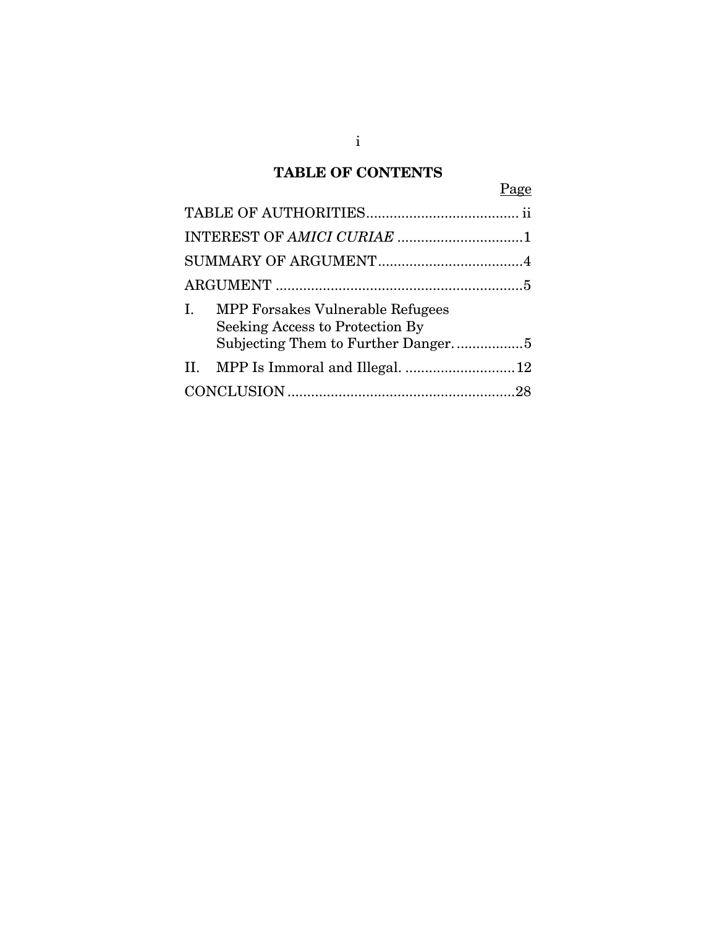# **TABLE OF CONTENTS**

| Page                                                                             |  |
|----------------------------------------------------------------------------------|--|
|                                                                                  |  |
|                                                                                  |  |
|                                                                                  |  |
|                                                                                  |  |
| <b>MPP Forsakes Vulnerable Refugees</b><br>Ι.<br>Seeking Access to Protection By |  |
| Subjecting Them to Further Danger5                                               |  |
|                                                                                  |  |
|                                                                                  |  |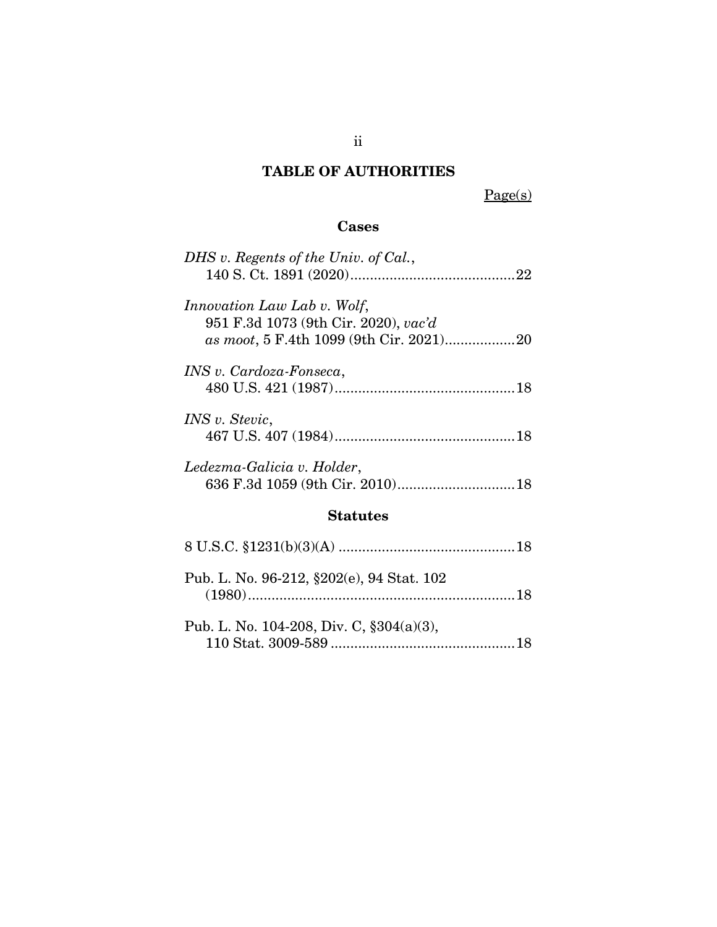# **TABLE OF AUTHORITIES**

Page(s)

## **Cases**

| DHS v. Regents of the Univ. of Cal.,                                       |
|----------------------------------------------------------------------------|
|                                                                            |
| <i>Innovation Law Lab v. Wolf,</i><br>951 F.3d 1073 (9th Cir. 2020), vac'd |
|                                                                            |
|                                                                            |
| INS v. Cardoza-Fonseca,                                                    |
|                                                                            |
| <i>INS v. Stevic,</i>                                                      |
|                                                                            |
|                                                                            |
| Ledezma-Galicia v. Holder,                                                 |
|                                                                            |
| <b>Statutes</b>                                                            |
|                                                                            |
|                                                                            |
|                                                                            |

| Pub. L. No. 96-212, §202(e), 94 Stat. 102     |  |
|-----------------------------------------------|--|
| Pub. L. No. 104-208, Div. C, $\S 304(a)(3)$ , |  |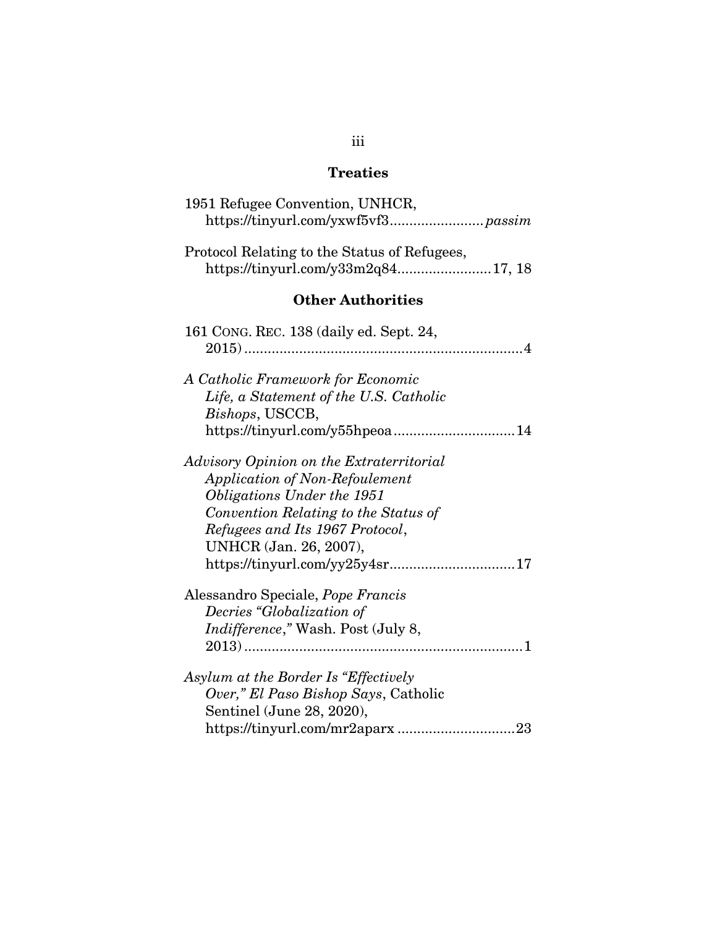# **Treaties**

| 1951 Refugee Convention, UNHCR,                                                                                                                                                                                                                        |
|--------------------------------------------------------------------------------------------------------------------------------------------------------------------------------------------------------------------------------------------------------|
| Protocol Relating to the Status of Refugees,                                                                                                                                                                                                           |
| <b>Other Authorities</b>                                                                                                                                                                                                                               |
| 161 CONG. REC. 138 (daily ed. Sept. 24,                                                                                                                                                                                                                |
| A Catholic Framework for Economic<br>Life, a Statement of the U.S. Catholic<br>Bishops, USCCB,                                                                                                                                                         |
| Advisory Opinion on the Extraterritorial<br><b>Application of Non-Refoulement</b><br>Obligations Under the 1951<br>Convention Relating to the Status of<br>Refugees and Its 1967 Protocol,<br>UNHCR (Jan. 26, 2007),<br>https://tinyurl.com/yy25y4sr17 |
| Alessandro Speciale, Pope Francis<br>Decries "Globalization of<br>Indifference," Wash. Post (July 8,                                                                                                                                                   |
| Asylum at the Border Is "Effectively<br>Over," El Paso Bishop Says, Catholic<br>Sentinel (June 28, 2020),                                                                                                                                              |

# iii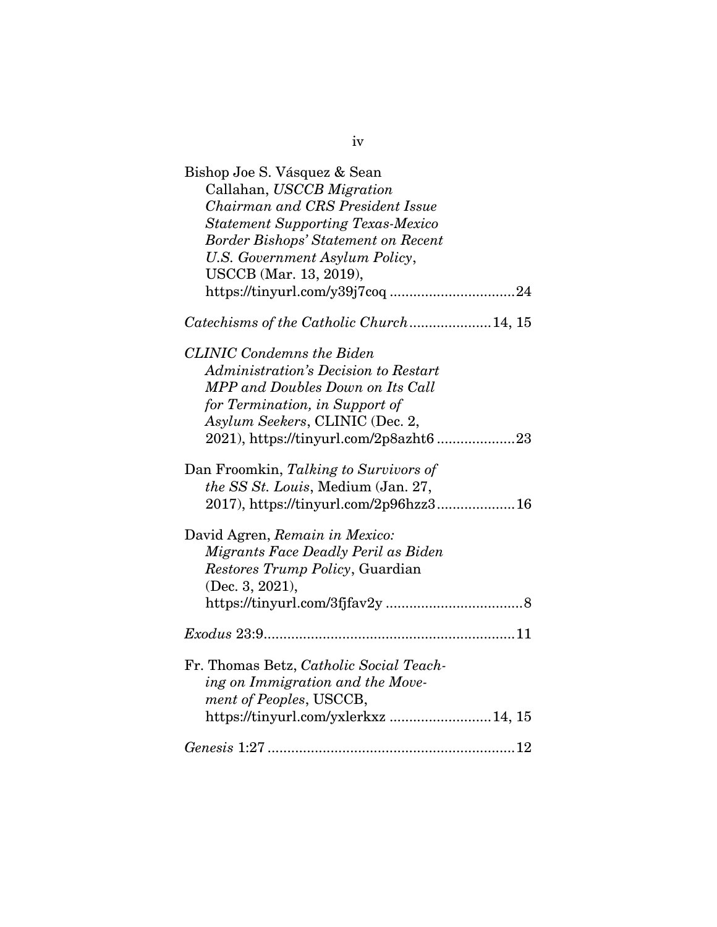| Bishop Joe S. Vásquez & Sean<br>Callahan, USCCB Migration<br>Chairman and CRS President Issue<br><b>Statement Supporting Texas-Mexico</b><br><b>Border Bishops' Statement on Recent</b><br>U.S. Government Asylum Policy,<br>USCCB (Mar. 13, 2019), |
|-----------------------------------------------------------------------------------------------------------------------------------------------------------------------------------------------------------------------------------------------------|
| Catechisms of the Catholic Church14, 15                                                                                                                                                                                                             |
| <b>CLINIC Condemns the Biden</b><br>Administration's Decision to Restart<br>MPP and Doubles Down on Its Call<br>for Termination, in Support of<br>Asylum Seekers, CLINIC (Dec. 2,<br>2021), https://tinyurl.com/2p8azht6 23                         |
| Dan Froomkin, Talking to Survivors of<br>the SS St. Louis, Medium (Jan. 27,<br>2017), https://tinyurl.com/2p96hzz316                                                                                                                                |
| David Agren, Remain in Mexico:<br>Migrants Face Deadly Peril as Biden<br>Restores Trump Policy, Guardian<br>(Dec. 3, 2021),<br>$\textit{https://tinyurl.com/3fjfav2y}\dots\dots\dots\dots\dots\dots\dots\dots\dots\dots\dots 8$                     |
| $Exodus 23:9$ and $11$                                                                                                                                                                                                                              |
| Fr. Thomas Betz, Catholic Social Teach-<br>ing on Immigration and the Move-<br>ment of Peoples, USCCB,<br>https://tinyurl.com/yxlerkxz14, 15                                                                                                        |
|                                                                                                                                                                                                                                                     |

iv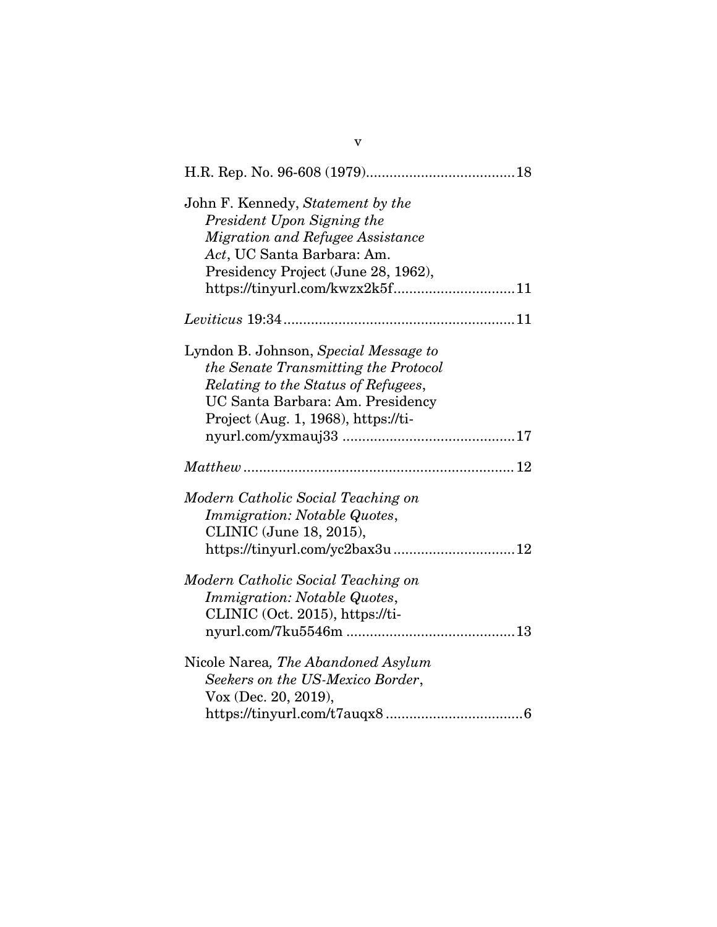| John F. Kennedy, Statement by the<br>President Upon Signing the<br>Migration and Refugee Assistance<br>Act, UC Santa Barbara: Am.<br>Presidency Project (June 28, 1962),                        |
|-------------------------------------------------------------------------------------------------------------------------------------------------------------------------------------------------|
|                                                                                                                                                                                                 |
| Lyndon B. Johnson, Special Message to<br>the Senate Transmitting the Protocol<br>Relating to the Status of Refugees,<br>UC Santa Barbara: Am. Presidency<br>Project (Aug. 1, 1968), https://ti- |
|                                                                                                                                                                                                 |
| Modern Catholic Social Teaching on<br>Immigration: Notable Quotes,<br>CLINIC (June 18, 2015),<br>https://tinyurl.com/yc2bax3u 12                                                                |
| Modern Catholic Social Teaching on<br>Immigration: Notable Quotes,<br>CLINIC (Oct. 2015), https://ti-                                                                                           |
| Nicole Narea, The Abandoned Asylum<br>Seekers on the US-Mexico Border,<br>Vox (Dec. 20, 2019),                                                                                                  |

v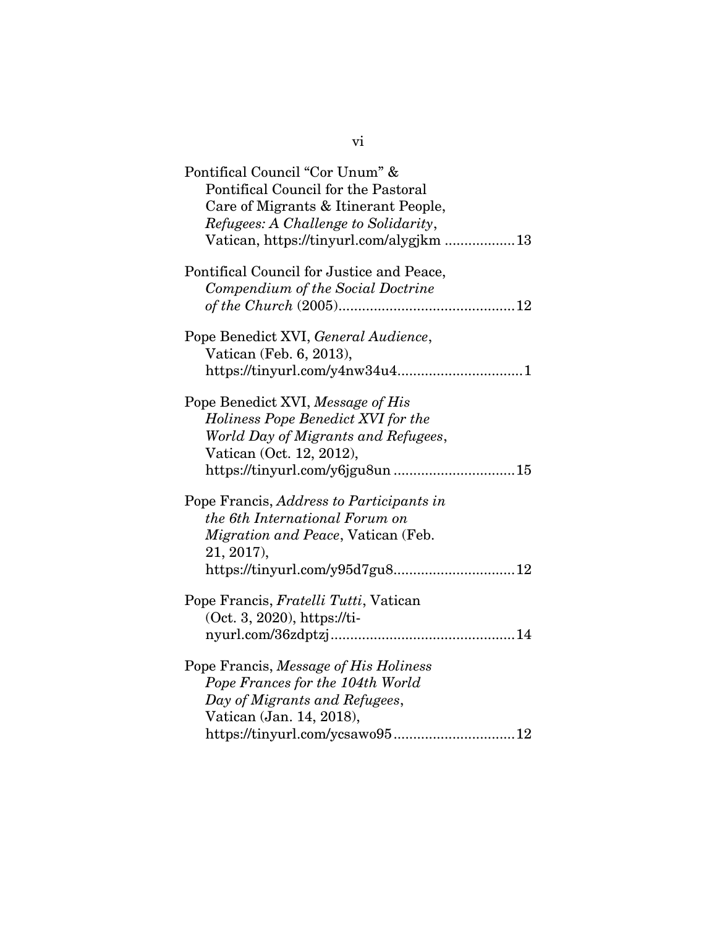| Pontifical Council "Cor Unum" &<br>Pontifical Council for the Pastoral<br>Care of Migrants & Itinerant People,<br>Refugees: A Challenge to Solidarity,<br>Vatican, https://tinyurl.com/alygjkm 13 |
|---------------------------------------------------------------------------------------------------------------------------------------------------------------------------------------------------|
| Pontifical Council for Justice and Peace,<br>Compendium of the Social Doctrine                                                                                                                    |
| Pope Benedict XVI, General Audience,<br>Vatican (Feb. 6, 2013),                                                                                                                                   |
| Pope Benedict XVI, Message of His<br>Holiness Pope Benedict XVI for the<br>World Day of Migrants and Refugees,<br>Vatican (Oct. 12, 2012),<br>https://tinyurl.com/y6jgu8un15                      |
| Pope Francis, Address to Participants in<br>the 6th International Forum on<br>Migration and Peace, Vatican (Feb.<br>21, 2017),<br>https://tinyurl.com/y95d7gu812                                  |
| Pope Francis, Fratelli Tutti, Vatican<br>(Oct. 3, 2020), https://ti-                                                                                                                              |
| Pope Francis, Message of His Holiness<br>Pope Frances for the 104th World<br>Day of Migrants and Refugees,<br>Vatican (Jan. 14, 2018),<br>https://tinyurl.com/ycsawo9512                          |

vi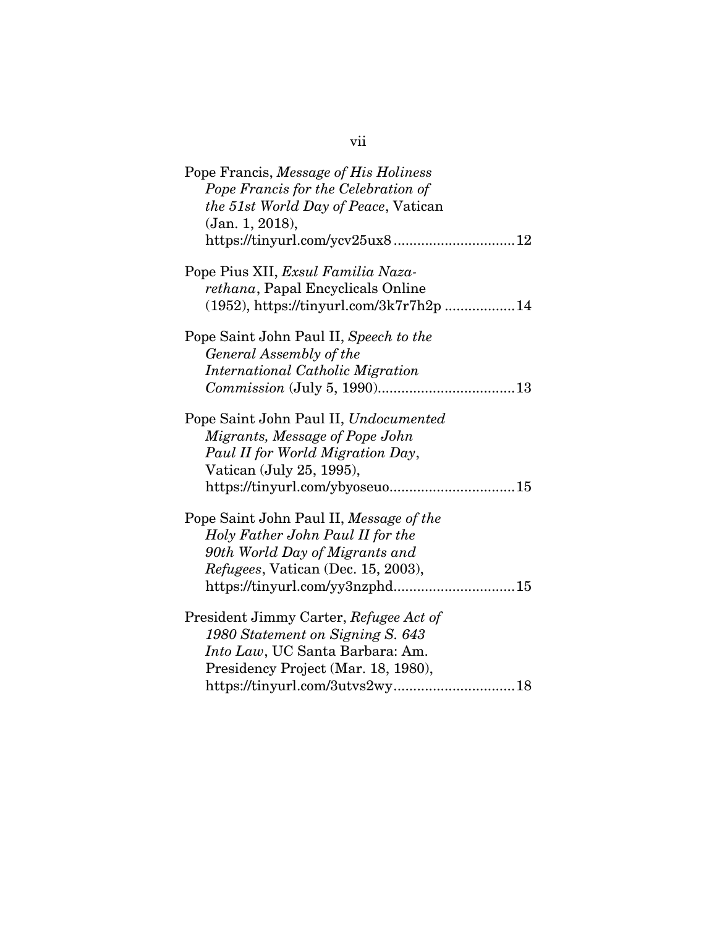| Pope Francis, Message of His Holiness      |
|--------------------------------------------|
| Pope Francis for the Celebration of        |
| the 51st World Day of Peace, Vatican       |
| (Jan. 1, 2018),                            |
|                                            |
| Pope Pius XII, Exsul Familia Naza-         |
| <i>rethana</i> , Papal Encyclicals Online  |
| $(1952)$ , https://tinyurl.com/3k7r7h2p 14 |
| Pope Saint John Paul II, Speech to the     |
| General Assembly of the                    |
| International Catholic Migration           |
|                                            |
| Pope Saint John Paul II, Undocumented      |
| Migrants, Message of Pope John             |
| Paul II for World Migration Day,           |
| Vatican (July 25, 1995),                   |
| https://tinyurl.com/ybyoseuo15             |
| Pope Saint John Paul II, Message of the    |
| Holy Father John Paul II for the           |
| 90th World Day of Migrants and             |
| <i>Refugees, Vatican (Dec. 15, 2003),</i>  |
|                                            |
| President Jimmy Carter, Refugee Act of     |
| 1980 Statement on Signing S. 643           |
| Into Law, UC Santa Barbara: Am.            |
| Presidency Project (Mar. 18, 1980),        |
| https://tinyurl.com/3utvs2wy18             |

vii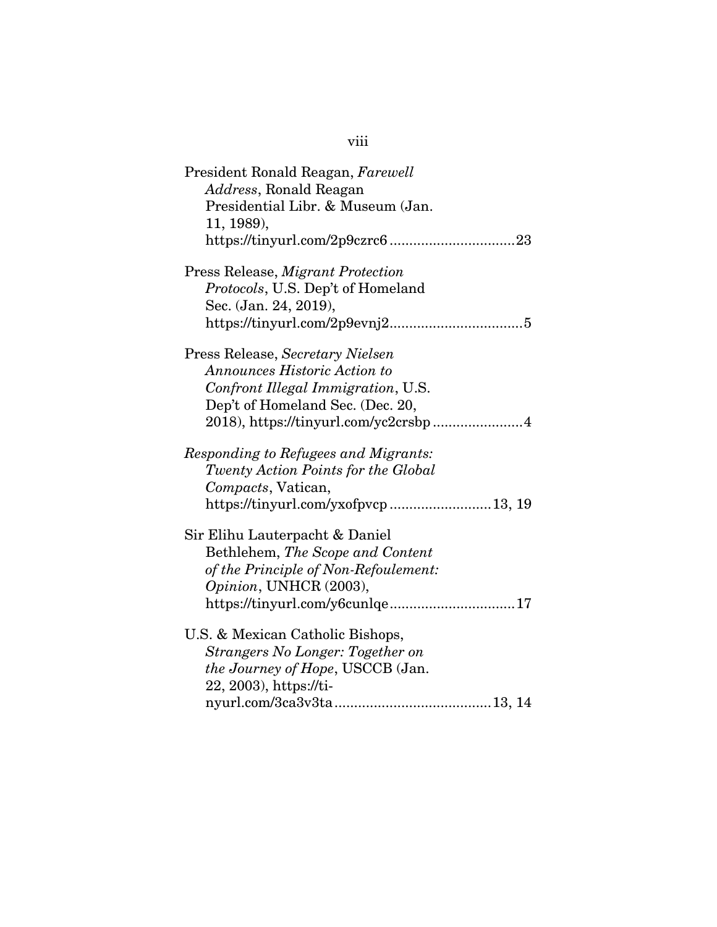| President Ronald Reagan, Farewell<br>Address, Ronald Reagan<br>Presidential Libr. & Museum (Jan.<br>11, 1989),                                                         |
|------------------------------------------------------------------------------------------------------------------------------------------------------------------------|
| Press Release, Migrant Protection<br>Protocols, U.S. Dep't of Homeland<br>Sec. (Jan. 24, 2019),                                                                        |
| Press Release, Secretary Nielsen<br><b>Announces Historic Action to</b><br>Confront Illegal Immigration, U.S.<br>Dep't of Homeland Sec. (Dec. 20,                      |
| Responding to Refugees and Migrants:<br>Twenty Action Points for the Global<br>Compacts, Vatican,<br>https://tinyurl.com/yxofpvcp 13, 19                               |
| Sir Elihu Lauterpacht & Daniel<br>Bethlehem, The Scope and Content<br>of the Principle of Non-Refoulement:<br>Opinion, UNHCR (2003),<br>https://tinyurl.com/y6cunlqe17 |
| U.S. & Mexican Catholic Bishops,<br>Strangers No Longer: Together on<br><i>the Journey of Hope, USCCB</i> (Jan.<br>22, 2003), https://ti-                              |

viii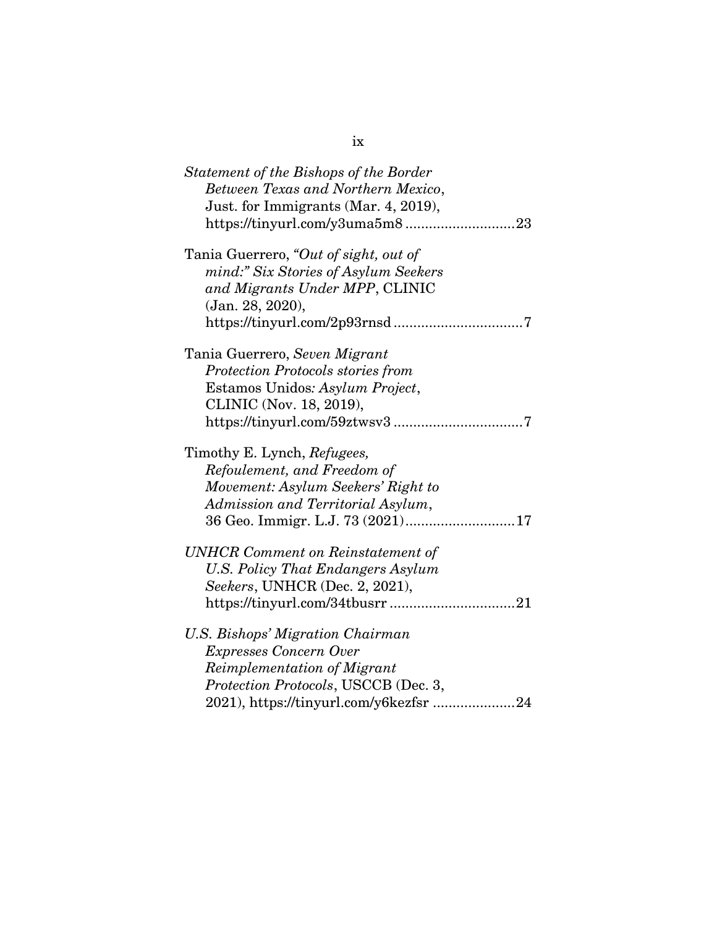| Statement of the Bishops of the Border<br>Between Texas and Northern Mexico,<br>Just. for Immigrants (Mar. 4, 2019),<br>23                                                         |
|------------------------------------------------------------------------------------------------------------------------------------------------------------------------------------|
| Tania Guerrero, "Out of sight, out of<br>mind:" Six Stories of Asylum Seekers<br>and Migrants Under MPP, CLINIC<br>(Jan. 28, 2020),                                                |
| Tania Guerrero, Seven Migrant<br><b>Protection Protocols stories from</b><br>Estamos Unidos: Asylum Project,<br>CLINIC (Nov. 18, 2019),                                            |
| Timothy E. Lynch, Refugees,<br>Refoulement, and Freedom of<br>Movement: Asylum Seekers' Right to<br>Admission and Territorial Asylum,                                              |
| UNHCR Comment on Reinstatement of<br>U.S. Policy That Endangers Asylum<br>Seekers, UNHCR (Dec. 2, 2021),                                                                           |
| U.S. Bishops' Migration Chairman<br><b>Expresses Concern Over</b><br>Reimplementation of Migrant<br>Protection Protocols, USCCB (Dec. 3,<br>2021), https://tinyurl.com/y6kezfsr 24 |

ix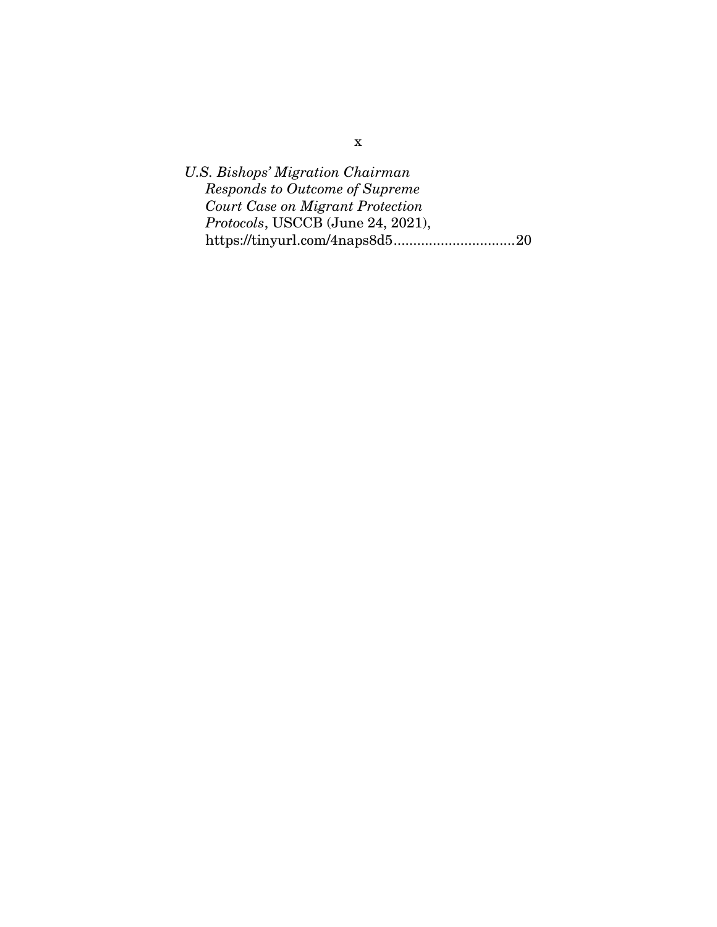*U.S. Bishops' Migration Chairman Responds to Outcome of Supreme Court Case on Migrant Protection Protocols*, USCCB (June 24, 2021), https://tinyurl.com/4naps8d5 ............................... 20

x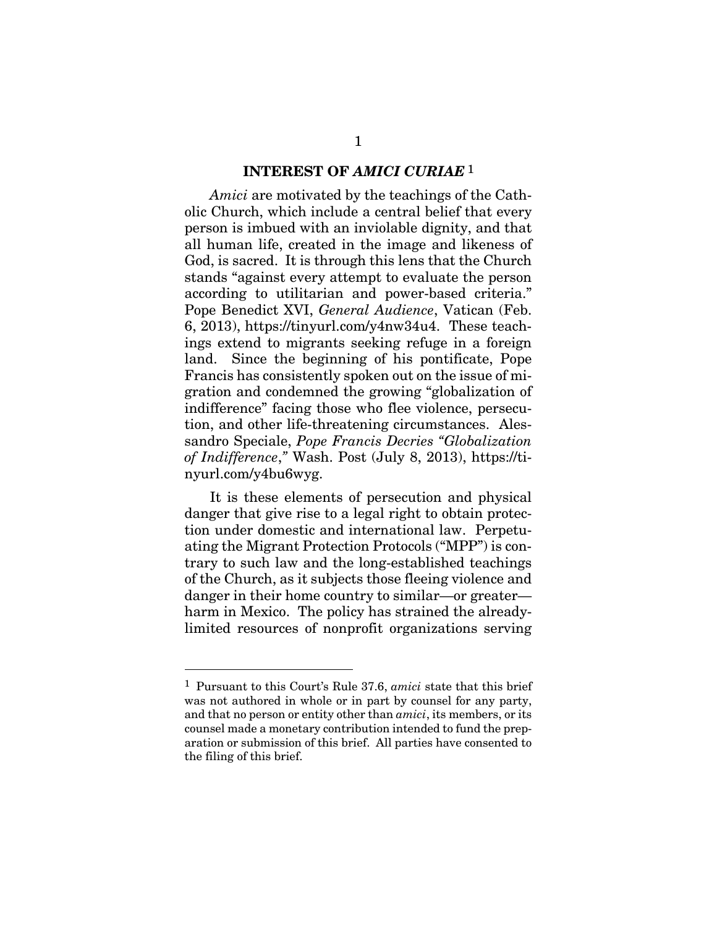#### **INTEREST OF** *AMICI CURIAE* 1

*Amici* are motivated by the teachings of the Catholic Church, which include a central belief that every person is imbued with an inviolable dignity, and that all human life, created in the image and likeness of God, is sacred. It is through this lens that the Church stands "against every attempt to evaluate the person according to utilitarian and power-based criteria." Pope Benedict XVI, *General Audience*, Vatican (Feb. 6, 2013), https://tinyurl.com/y4nw34u4. These teachings extend to migrants seeking refuge in a foreign land. Since the beginning of his pontificate, Pope Francis has consistently spoken out on the issue of migration and condemned the growing "globalization of indifference" facing those who flee violence, persecution, and other life-threatening circumstances. Alessandro Speciale, *Pope Francis Decries "Globalization of Indifference*,*"* Wash. Post (July 8, 2013), https://tinyurl.com/y4bu6wyg.

It is these elements of persecution and physical danger that give rise to a legal right to obtain protection under domestic and international law. Perpetuating the Migrant Protection Protocols ("MPP") is contrary to such law and the long-established teachings of the Church, as it subjects those fleeing violence and danger in their home country to similar—or greater harm in Mexico. The policy has strained the alreadylimited resources of nonprofit organizations serving

 $\overline{a}$ 

<sup>1</sup> Pursuant to this Court's Rule 37.6, *amici* state that this brief was not authored in whole or in part by counsel for any party, and that no person or entity other than *amici*, its members, or its counsel made a monetary contribution intended to fund the preparation or submission of this brief. All parties have consented to the filing of this brief.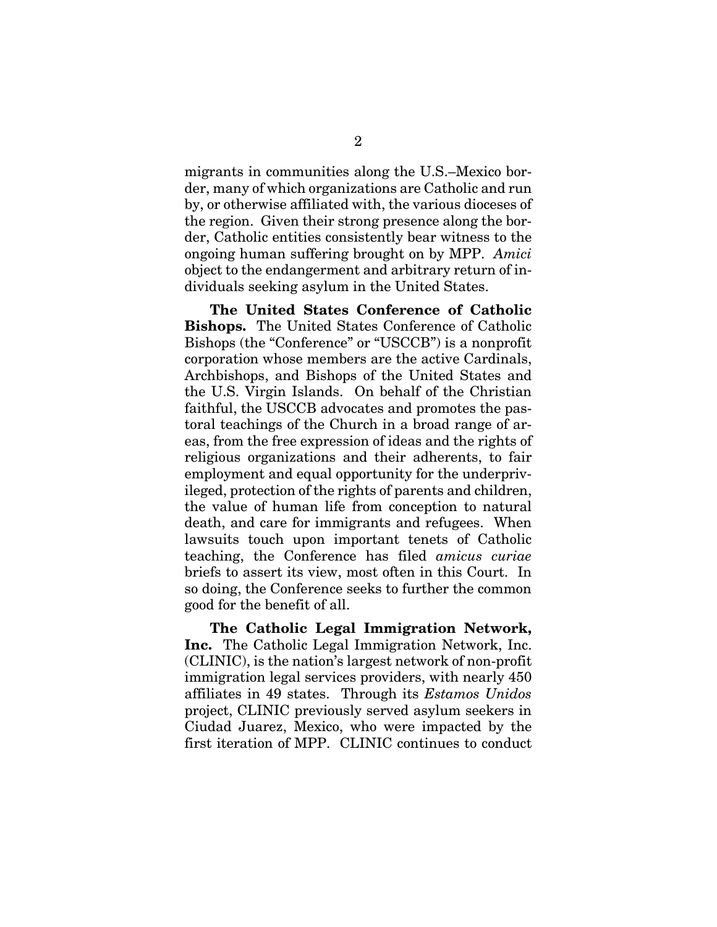migrants in communities along the U.S.–Mexico border, many of which organizations are Catholic and run by, or otherwise affiliated with, the various dioceses of the region. Given their strong presence along the border, Catholic entities consistently bear witness to the ongoing human suffering brought on by MPP. *Amici* object to the endangerment and arbitrary return of individuals seeking asylum in the United States.

**The United States Conference of Catholic Bishops.** The United States Conference of Catholic Bishops (the "Conference" or "USCCB") is a nonprofit corporation whose members are the active Cardinals, Archbishops, and Bishops of the United States and the U.S. Virgin Islands. On behalf of the Christian faithful, the USCCB advocates and promotes the pastoral teachings of the Church in a broad range of areas, from the free expression of ideas and the rights of religious organizations and their adherents, to fair employment and equal opportunity for the underprivileged, protection of the rights of parents and children, the value of human life from conception to natural death, and care for immigrants and refugees. When lawsuits touch upon important tenets of Catholic teaching, the Conference has filed *amicus curiae* briefs to assert its view, most often in this Court. In so doing, the Conference seeks to further the common good for the benefit of all.

**The Catholic Legal Immigration Network, Inc.** The Catholic Legal Immigration Network, Inc. (CLINIC), is the nation's largest network of non-profit immigration legal services providers, with nearly 450 affiliates in 49 states. Through its *Estamos Unidos* project, CLINIC previously served asylum seekers in Ciudad Juarez, Mexico, who were impacted by the first iteration of MPP. CLINIC continues to conduct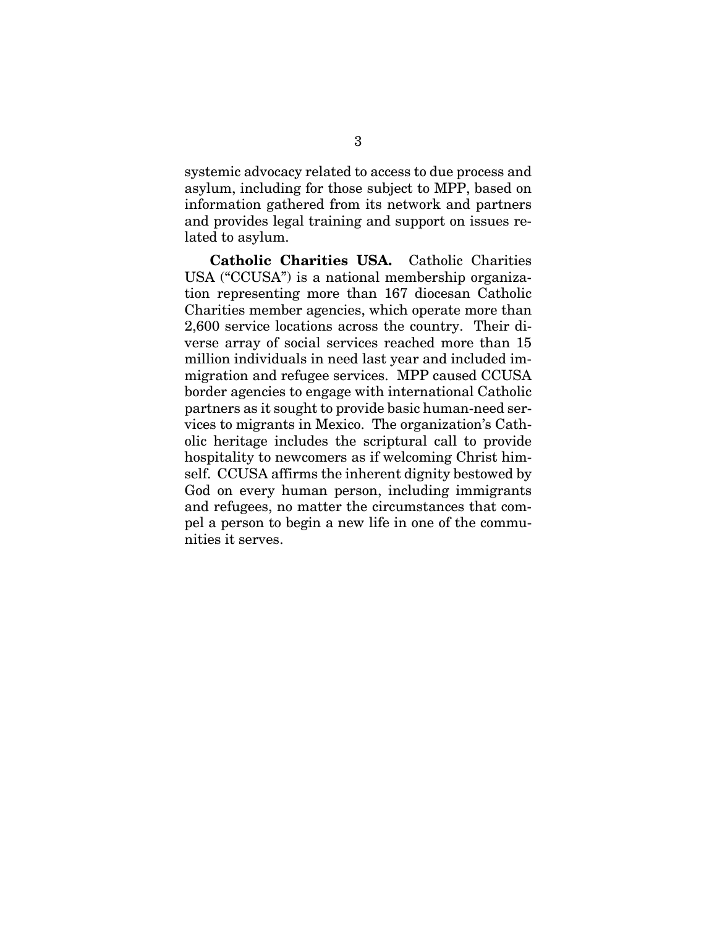systemic advocacy related to access to due process and asylum, including for those subject to MPP, based on information gathered from its network and partners and provides legal training and support on issues related to asylum.

**Catholic Charities USA.** Catholic Charities USA ("CCUSA") is a national membership organization representing more than 167 diocesan Catholic Charities member agencies, which operate more than 2,600 service locations across the country. Their diverse array of social services reached more than 15 million individuals in need last year and included immigration and refugee services. MPP caused CCUSA border agencies to engage with international Catholic partners as it sought to provide basic human-need services to migrants in Mexico. The organization's Catholic heritage includes the scriptural call to provide hospitality to newcomers as if welcoming Christ himself. CCUSA affirms the inherent dignity bestowed by God on every human person, including immigrants and refugees, no matter the circumstances that compel a person to begin a new life in one of the communities it serves.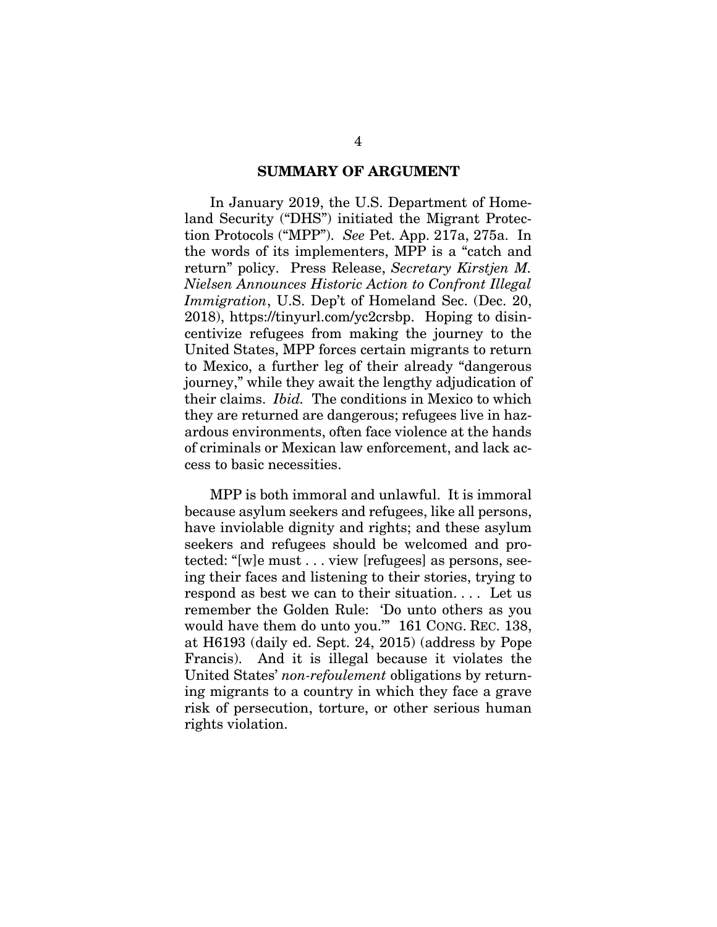#### **SUMMARY OF ARGUMENT**

 In January 2019, the U.S. Department of Homeland Security ("DHS") initiated the Migrant Protection Protocols ("MPP"). *See* Pet. App. 217a, 275a. In the words of its implementers, MPP is a "catch and return" policy. Press Release, *Secretary Kirstjen M. Nielsen Announces Historic Action to Confront Illegal Immigration*, U.S. Dep't of Homeland Sec. (Dec. 20, 2018), https://tinyurl.com/yc2crsbp. Hoping to disincentivize refugees from making the journey to the United States, MPP forces certain migrants to return to Mexico, a further leg of their already "dangerous journey," while they await the lengthy adjudication of their claims. *Ibid.* The conditions in Mexico to which they are returned are dangerous; refugees live in hazardous environments, often face violence at the hands of criminals or Mexican law enforcement, and lack access to basic necessities.

 MPP is both immoral and unlawful. It is immoral because asylum seekers and refugees, like all persons, have inviolable dignity and rights; and these asylum seekers and refugees should be welcomed and protected: "[w]e must . . . view [refugees] as persons, seeing their faces and listening to their stories, trying to respond as best we can to their situation. . . . Let us remember the Golden Rule: 'Do unto others as you would have them do unto you.'" 161 CONG. REC. 138, at H6193 (daily ed. Sept. 24, 2015) (address by Pope Francis). And it is illegal because it violates the United States' *non-refoulement* obligations by returning migrants to a country in which they face a grave risk of persecution, torture, or other serious human rights violation.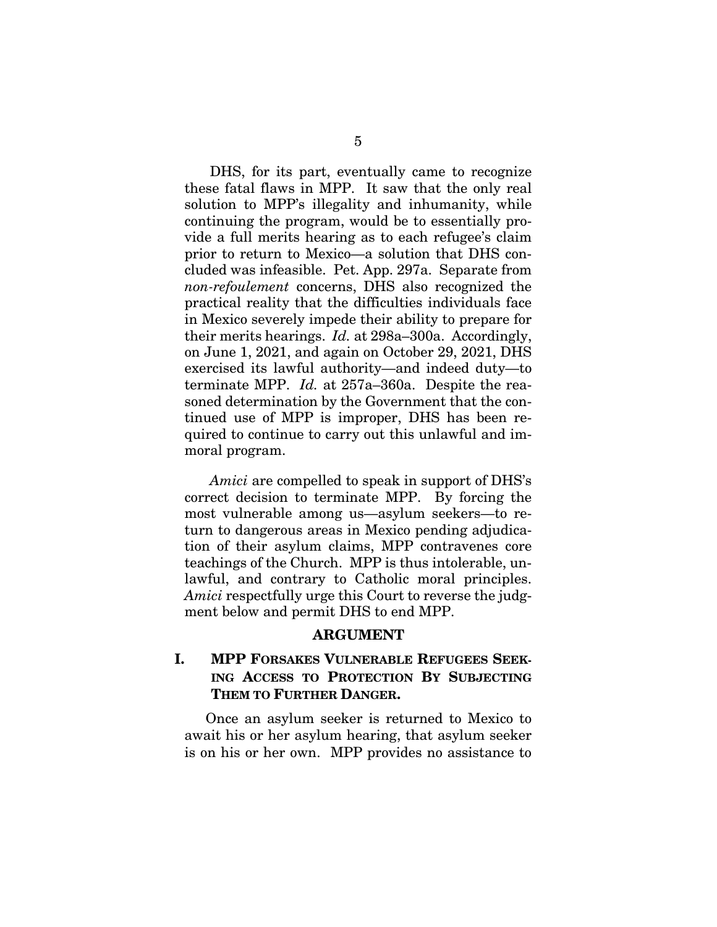DHS, for its part, eventually came to recognize these fatal flaws in MPP. It saw that the only real solution to MPP's illegality and inhumanity, while continuing the program, would be to essentially provide a full merits hearing as to each refugee's claim prior to return to Mexico—a solution that DHS concluded was infeasible. Pet. App. 297a. Separate from *non-refoulement* concerns, DHS also recognized the practical reality that the difficulties individuals face in Mexico severely impede their ability to prepare for their merits hearings. *Id.* at 298a–300a. Accordingly, on June 1, 2021, and again on October 29, 2021, DHS exercised its lawful authority—and indeed duty—to terminate MPP. *Id.* at 257a–360a. Despite the reasoned determination by the Government that the continued use of MPP is improper, DHS has been required to continue to carry out this unlawful and immoral program.

 *Amici* are compelled to speak in support of DHS's correct decision to terminate MPP. By forcing the most vulnerable among us—asylum seekers—to return to dangerous areas in Mexico pending adjudication of their asylum claims, MPP contravenes core teachings of the Church. MPP is thus intolerable, unlawful, and contrary to Catholic moral principles. *Amici* respectfully urge this Court to reverse the judgment below and permit DHS to end MPP.

#### **ARGUMENT**

## **I. MPP FORSAKES VULNERABLE REFUGEES SEEK-ING ACCESS TO PROTECTION BY SUBJECTING THEM TO FURTHER DANGER.**

Once an asylum seeker is returned to Mexico to await his or her asylum hearing, that asylum seeker is on his or her own. MPP provides no assistance to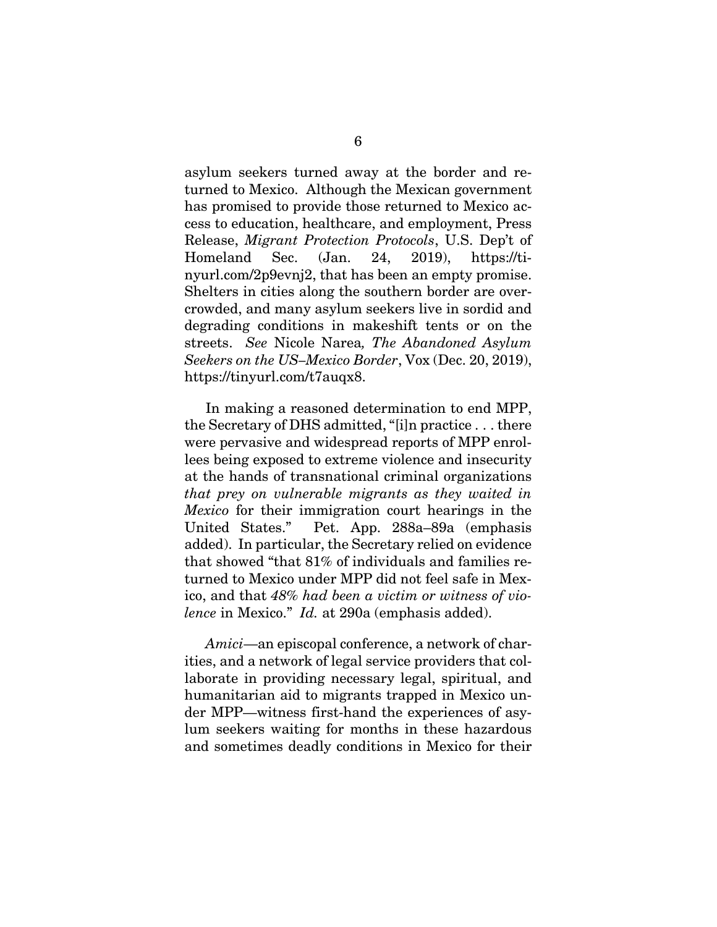asylum seekers turned away at the border and returned to Mexico. Although the Mexican government has promised to provide those returned to Mexico access to education, healthcare, and employment, Press Release, *Migrant Protection Protocols*, U.S. Dep't of Homeland Sec. (Jan. 24, 2019), https://tinyurl.com/2p9evnj2, that has been an empty promise. Shelters in cities along the southern border are overcrowded, and many asylum seekers live in sordid and degrading conditions in makeshift tents or on the streets. *See* Nicole Narea*, The Abandoned Asylum Seekers on the US–Mexico Border*, Vox (Dec. 20, 2019), https://tinyurl.com/t7auqx8.

In making a reasoned determination to end MPP, the Secretary of DHS admitted, "[i]n practice . . . there were pervasive and widespread reports of MPP enrollees being exposed to extreme violence and insecurity at the hands of transnational criminal organizations *that prey on vulnerable migrants as they waited in Mexico* for their immigration court hearings in the United States." Pet. App. 288a–89a (emphasis added). In particular, the Secretary relied on evidence that showed "that 81% of individuals and families returned to Mexico under MPP did not feel safe in Mexico, and that *48% had been a victim or witness of violence* in Mexico." *Id.* at 290a (emphasis added).

*Amici*—an episcopal conference, a network of charities, and a network of legal service providers that collaborate in providing necessary legal, spiritual, and humanitarian aid to migrants trapped in Mexico under MPP—witness first-hand the experiences of asylum seekers waiting for months in these hazardous and sometimes deadly conditions in Mexico for their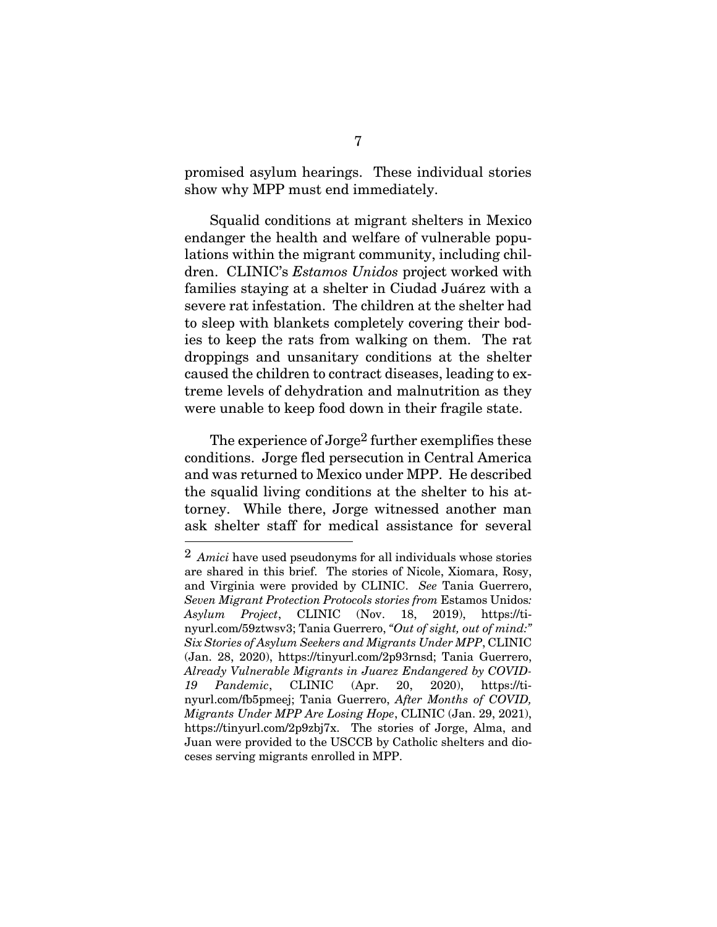promised asylum hearings. These individual stories show why MPP must end immediately.

Squalid conditions at migrant shelters in Mexico endanger the health and welfare of vulnerable populations within the migrant community, including children. CLINIC's *Estamos Unidos* project worked with families staying at a shelter in Ciudad Juárez with a severe rat infestation. The children at the shelter had to sleep with blankets completely covering their bodies to keep the rats from walking on them. The rat droppings and unsanitary conditions at the shelter caused the children to contract diseases, leading to extreme levels of dehydration and malnutrition as they were unable to keep food down in their fragile state.

The experience of Jorge<sup>2</sup> further exemplifies these conditions. Jorge fled persecution in Central America and was returned to Mexico under MPP. He described the squalid living conditions at the shelter to his attorney. While there, Jorge witnessed another man ask shelter staff for medical assistance for several

 $\overline{a}$ 

<sup>2</sup> *Amici* have used pseudonyms for all individuals whose stories are shared in this brief. The stories of Nicole, Xiomara, Rosy, and Virginia were provided by CLINIC. *See* Tania Guerrero, *Seven Migrant Protection Protocols stories from* Estamos Unidos*: Asylum Project*, CLINIC (Nov. 18, 2019), https://tinyurl.com/59ztwsv3; Tania Guerrero, *"Out of sight, out of mind:" Six Stories of Asylum Seekers and Migrants Under MPP*, CLINIC (Jan. 28, 2020), https://tinyurl.com/2p93rnsd; Tania Guerrero, *Already Vulnerable Migrants in Juarez Endangered by COVID-19 Pandemic*, CLINIC (Apr. 20, 2020), https://tinyurl.com/fb5pmeej; Tania Guerrero, *After Months of COVID, Migrants Under MPP Are Losing Hope*, CLINIC (Jan. 29, 2021), https://tinyurl.com/2p9zbj7x. The stories of Jorge, Alma, and Juan were provided to the USCCB by Catholic shelters and dioceses serving migrants enrolled in MPP.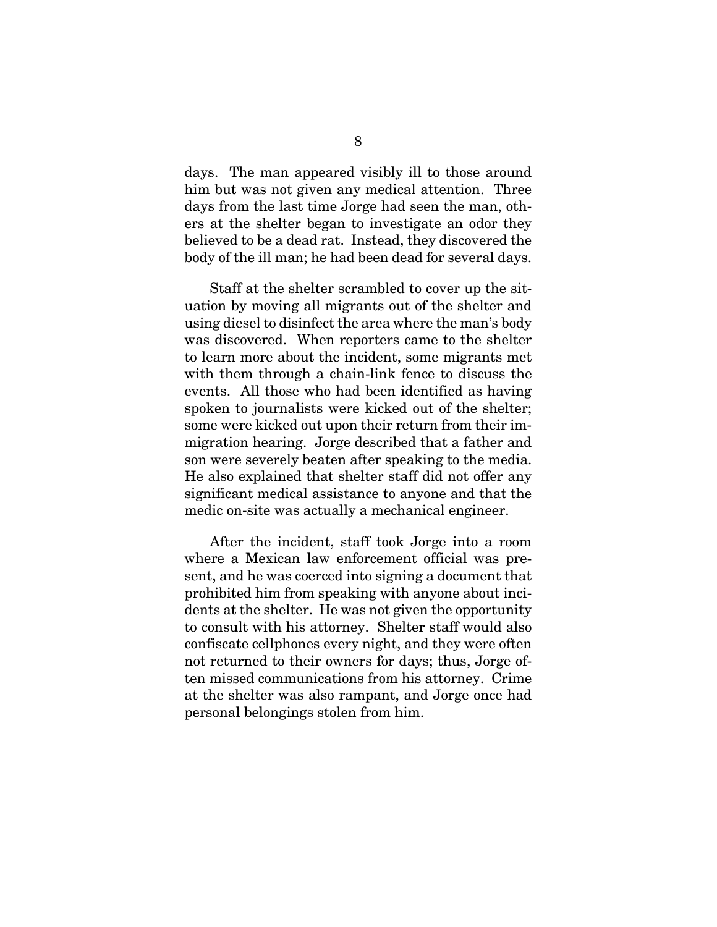days. The man appeared visibly ill to those around him but was not given any medical attention. Three days from the last time Jorge had seen the man, others at the shelter began to investigate an odor they believed to be a dead rat. Instead, they discovered the body of the ill man; he had been dead for several days.

Staff at the shelter scrambled to cover up the situation by moving all migrants out of the shelter and using diesel to disinfect the area where the man's body was discovered. When reporters came to the shelter to learn more about the incident, some migrants met with them through a chain-link fence to discuss the events. All those who had been identified as having spoken to journalists were kicked out of the shelter; some were kicked out upon their return from their immigration hearing. Jorge described that a father and son were severely beaten after speaking to the media. He also explained that shelter staff did not offer any significant medical assistance to anyone and that the medic on-site was actually a mechanical engineer.

After the incident, staff took Jorge into a room where a Mexican law enforcement official was present, and he was coerced into signing a document that prohibited him from speaking with anyone about incidents at the shelter. He was not given the opportunity to consult with his attorney. Shelter staff would also confiscate cellphones every night, and they were often not returned to their owners for days; thus, Jorge often missed communications from his attorney. Crime at the shelter was also rampant, and Jorge once had personal belongings stolen from him.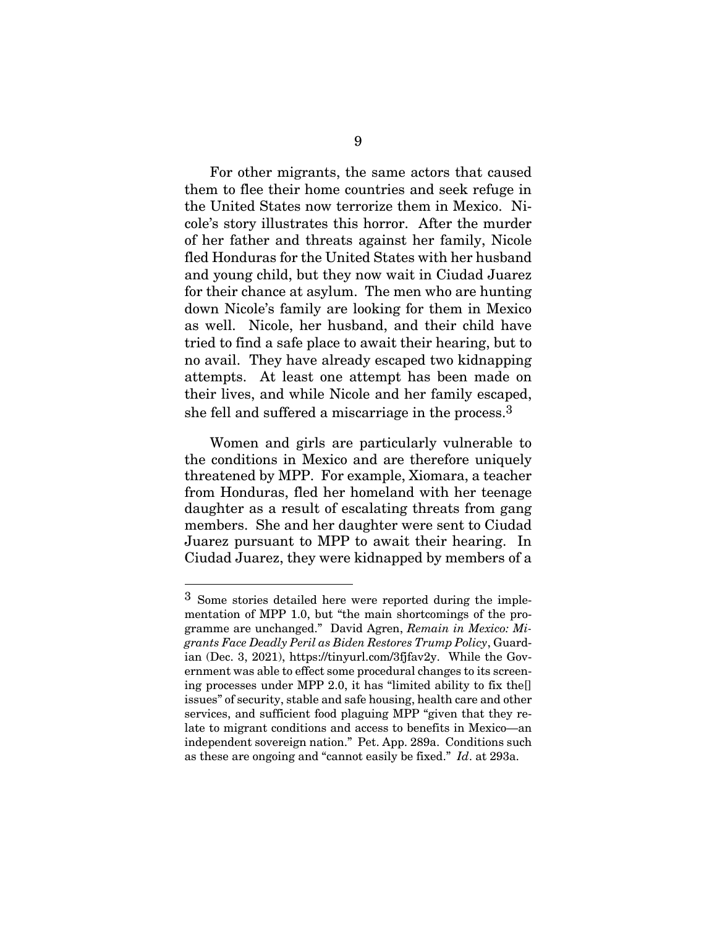For other migrants, the same actors that caused them to flee their home countries and seek refuge in the United States now terrorize them in Mexico. Nicole's story illustrates this horror. After the murder of her father and threats against her family, Nicole fled Honduras for the United States with her husband and young child, but they now wait in Ciudad Juarez for their chance at asylum. The men who are hunting down Nicole's family are looking for them in Mexico as well. Nicole, her husband, and their child have tried to find a safe place to await their hearing, but to no avail. They have already escaped two kidnapping attempts. At least one attempt has been made on their lives, and while Nicole and her family escaped, she fell and suffered a miscarriage in the process.3

Women and girls are particularly vulnerable to the conditions in Mexico and are therefore uniquely threatened by MPP. For example, Xiomara, a teacher from Honduras, fled her homeland with her teenage daughter as a result of escalating threats from gang members. She and her daughter were sent to Ciudad Juarez pursuant to MPP to await their hearing. In Ciudad Juarez, they were kidnapped by members of a

 $\overline{a}$ 

<sup>3</sup> Some stories detailed here were reported during the implementation of MPP 1.0, but "the main shortcomings of the programme are unchanged." David Agren, *Remain in Mexico: Migrants Face Deadly Peril as Biden Restores Trump Policy*, Guardian (Dec. 3, 2021), https://tinyurl.com/3fjfav2y. While the Government was able to effect some procedural changes to its screening processes under MPP 2.0, it has "limited ability to fix the[] issues" of security, stable and safe housing, health care and other services, and sufficient food plaguing MPP "given that they relate to migrant conditions and access to benefits in Mexico—an independent sovereign nation." Pet. App. 289a. Conditions such as these are ongoing and "cannot easily be fixed." *Id*. at 293a.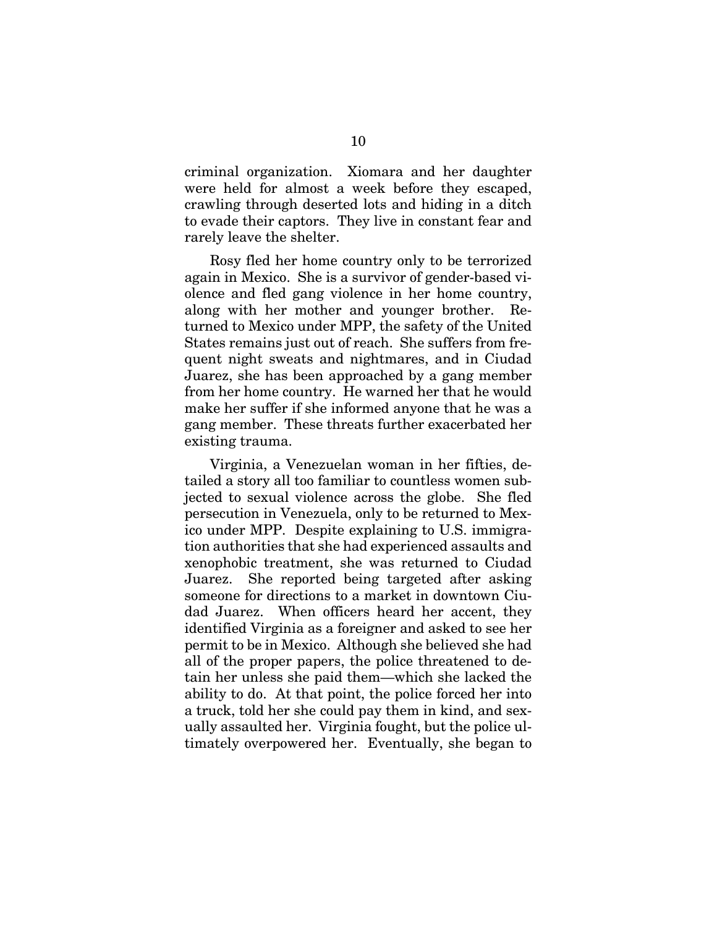criminal organization. Xiomara and her daughter were held for almost a week before they escaped, crawling through deserted lots and hiding in a ditch to evade their captors. They live in constant fear and rarely leave the shelter.

Rosy fled her home country only to be terrorized again in Mexico. She is a survivor of gender-based violence and fled gang violence in her home country, along with her mother and younger brother. Returned to Mexico under MPP, the safety of the United States remains just out of reach. She suffers from frequent night sweats and nightmares, and in Ciudad Juarez, she has been approached by a gang member from her home country. He warned her that he would make her suffer if she informed anyone that he was a gang member. These threats further exacerbated her existing trauma.

Virginia, a Venezuelan woman in her fifties, detailed a story all too familiar to countless women subjected to sexual violence across the globe. She fled persecution in Venezuela, only to be returned to Mexico under MPP. Despite explaining to U.S. immigration authorities that she had experienced assaults and xenophobic treatment, she was returned to Ciudad Juarez. She reported being targeted after asking someone for directions to a market in downtown Ciudad Juarez. When officers heard her accent, they identified Virginia as a foreigner and asked to see her permit to be in Mexico. Although she believed she had all of the proper papers, the police threatened to detain her unless she paid them—which she lacked the ability to do. At that point, the police forced her into a truck, told her she could pay them in kind, and sexually assaulted her. Virginia fought, but the police ultimately overpowered her. Eventually, she began to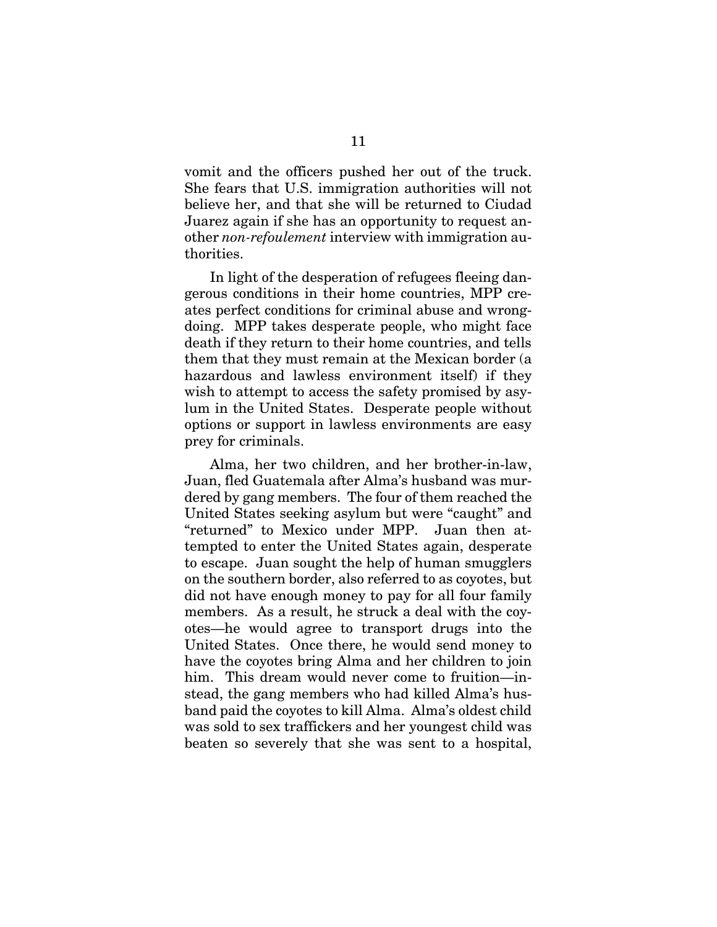vomit and the officers pushed her out of the truck. She fears that U.S. immigration authorities will not believe her, and that she will be returned to Ciudad Juarez again if she has an opportunity to request another *non-refoulement* interview with immigration authorities.

In light of the desperation of refugees fleeing dangerous conditions in their home countries, MPP creates perfect conditions for criminal abuse and wrongdoing. MPP takes desperate people, who might face death if they return to their home countries, and tells them that they must remain at the Mexican border (a hazardous and lawless environment itself) if they wish to attempt to access the safety promised by asylum in the United States. Desperate people without options or support in lawless environments are easy prey for criminals.

Alma, her two children, and her brother-in-law, Juan, fled Guatemala after Alma's husband was murdered by gang members. The four of them reached the United States seeking asylum but were "caught" and "returned" to Mexico under MPP. Juan then attempted to enter the United States again, desperate to escape. Juan sought the help of human smugglers on the southern border, also referred to as coyotes, but did not have enough money to pay for all four family members. As a result, he struck a deal with the coyotes—he would agree to transport drugs into the United States. Once there, he would send money to have the coyotes bring Alma and her children to join him. This dream would never come to fruition—instead, the gang members who had killed Alma's husband paid the coyotes to kill Alma. Alma's oldest child was sold to sex traffickers and her youngest child was beaten so severely that she was sent to a hospital,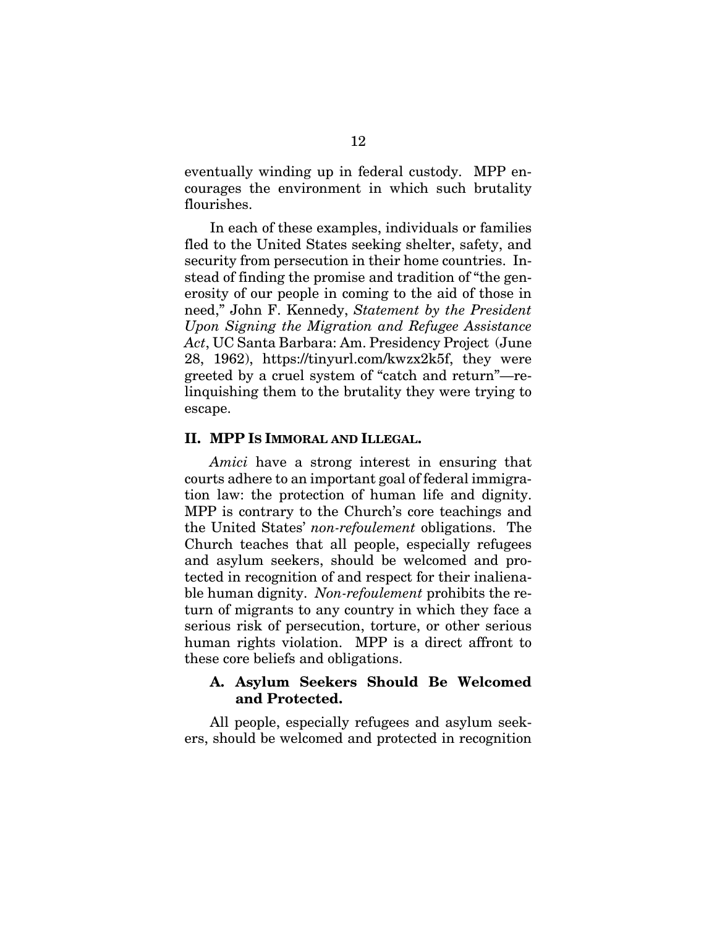eventually winding up in federal custody. MPP encourages the environment in which such brutality flourishes.

In each of these examples, individuals or families fled to the United States seeking shelter, safety, and security from persecution in their home countries. Instead of finding the promise and tradition of "the generosity of our people in coming to the aid of those in need," John F. Kennedy, *Statement by the President Upon Signing the Migration and Refugee Assistance Act*, UC Santa Barbara: Am. Presidency Project (June 28, 1962), https://tinyurl.com/kwzx2k5f, they were greeted by a cruel system of "catch and return"—relinquishing them to the brutality they were trying to escape.

#### **II. MPP IS IMMORAL AND ILLEGAL.**

*Amici* have a strong interest in ensuring that courts adhere to an important goal of federal immigration law: the protection of human life and dignity. MPP is contrary to the Church's core teachings and the United States' *non-refoulement* obligations. The Church teaches that all people, especially refugees and asylum seekers, should be welcomed and protected in recognition of and respect for their inalienable human dignity. *Non-refoulement* prohibits the return of migrants to any country in which they face a serious risk of persecution, torture, or other serious human rights violation. MPP is a direct affront to these core beliefs and obligations.

#### **A. Asylum Seekers Should Be Welcomed and Protected.**

 All people, especially refugees and asylum seekers, should be welcomed and protected in recognition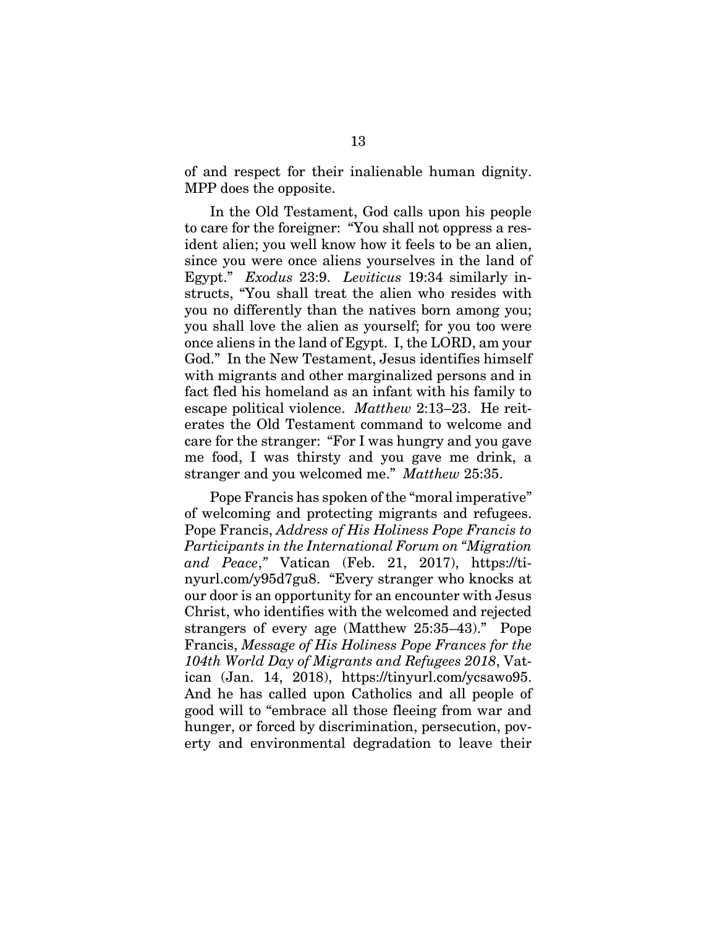of and respect for their inalienable human dignity. MPP does the opposite.

In the Old Testament, God calls upon his people to care for the foreigner: "You shall not oppress a resident alien; you well know how it feels to be an alien, since you were once aliens yourselves in the land of Egypt." *Exodus* 23:9. *Leviticus* 19:34 similarly instructs, "You shall treat the alien who resides with you no differently than the natives born among you; you shall love the alien as yourself; for you too were once aliens in the land of Egypt. I, the LORD, am your God." In the New Testament, Jesus identifies himself with migrants and other marginalized persons and in fact fled his homeland as an infant with his family to escape political violence. *Matthew* 2:13–23. He reiterates the Old Testament command to welcome and care for the stranger: "For I was hungry and you gave me food, I was thirsty and you gave me drink, a stranger and you welcomed me." *Matthew* 25:35.

Pope Francis has spoken of the "moral imperative" of welcoming and protecting migrants and refugees. Pope Francis, *Address of His Holiness Pope Francis to Participants in the International Forum on "Migration and Peace*,*"* Vatican (Feb. 21, 2017), https://tinyurl.com/y95d7gu8. "Every stranger who knocks at our door is an opportunity for an encounter with Jesus Christ, who identifies with the welcomed and rejected strangers of every age (Matthew 25:35–43)." Pope Francis, *Message of His Holiness Pope Frances for the 104th World Day of Migrants and Refugees 2018*, Vatican (Jan. 14, 2018), https://tinyurl.com/ycsawo95. And he has called upon Catholics and all people of good will to "embrace all those fleeing from war and hunger, or forced by discrimination, persecution, poverty and environmental degradation to leave their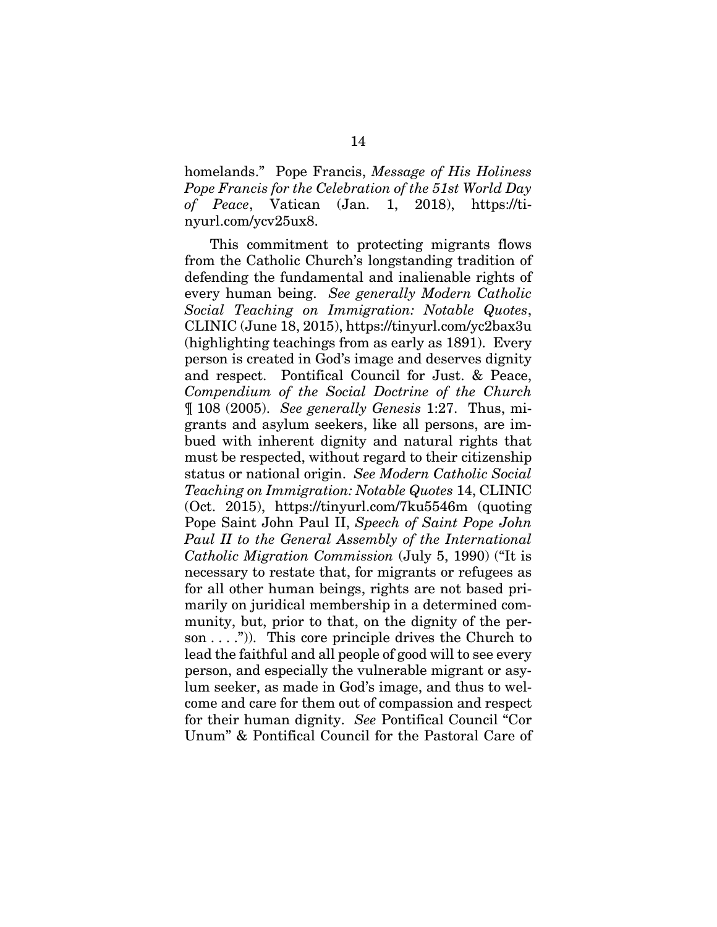homelands." Pope Francis, *Message of His Holiness Pope Francis for the Celebration of the 51st World Day of Peace*, Vatican (Jan. 1, 2018), https://tinyurl.com/ycv25ux8.

 This commitment to protecting migrants flows from the Catholic Church's longstanding tradition of defending the fundamental and inalienable rights of every human being. *See generally Modern Catholic Social Teaching on Immigration: Notable Quotes*, CLINIC (June 18, 2015), https://tinyurl.com/yc2bax3u (highlighting teachings from as early as 1891). Every person is created in God's image and deserves dignity and respect. Pontifical Council for Just. & Peace, *Compendium of the Social Doctrine of the Church* ¶ 108 (2005). *See generally Genesis* 1:27. Thus, migrants and asylum seekers, like all persons, are imbued with inherent dignity and natural rights that must be respected, without regard to their citizenship status or national origin. *See Modern Catholic Social Teaching on Immigration: Notable Quotes* 14, CLINIC (Oct. 2015), https://tinyurl.com/7ku5546m (quoting Pope Saint John Paul II, *Speech of Saint Pope John Paul II to the General Assembly of the International Catholic Migration Commission* (July 5, 1990) ("It is necessary to restate that, for migrants or refugees as for all other human beings, rights are not based primarily on juridical membership in a determined community, but, prior to that, on the dignity of the person  $\dots$ .")). This core principle drives the Church to lead the faithful and all people of good will to see every person, and especially the vulnerable migrant or asylum seeker, as made in God's image, and thus to welcome and care for them out of compassion and respect for their human dignity. *See* Pontifical Council "Cor Unum" & Pontifical Council for the Pastoral Care of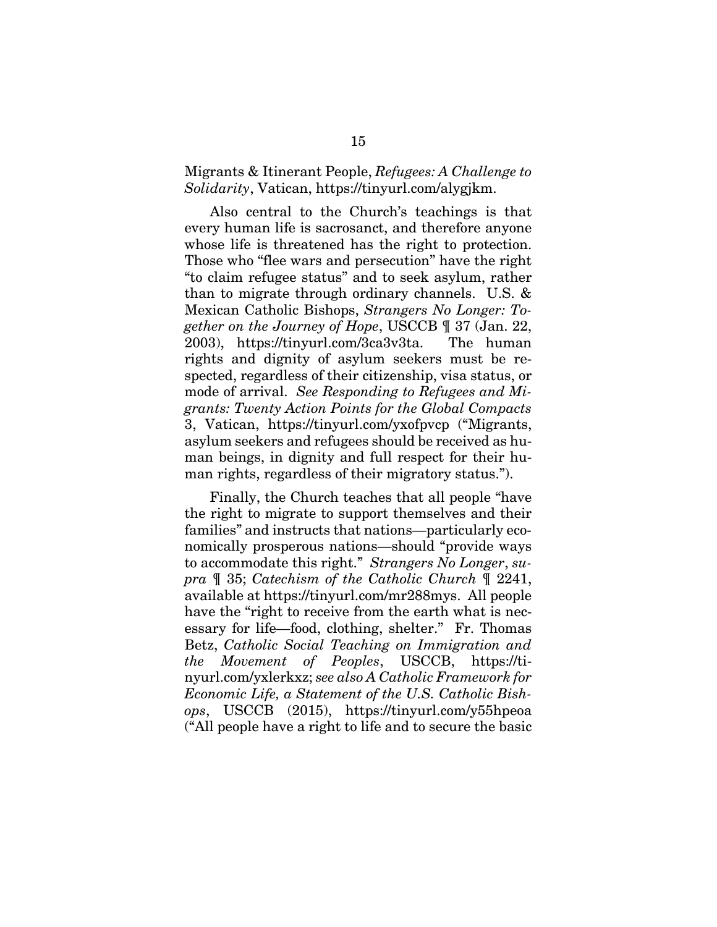### Migrants & Itinerant People, *Refugees: A Challenge to Solidarity*, Vatican, https://tinyurl.com/alygjkm.

 Also central to the Church's teachings is that every human life is sacrosanct, and therefore anyone whose life is threatened has the right to protection. Those who "flee wars and persecution" have the right "to claim refugee status" and to seek asylum, rather than to migrate through ordinary channels. U.S. & Mexican Catholic Bishops, *Strangers No Longer: Together on the Journey of Hope*, USCCB ¶ 37 (Jan. 22, 2003), https://tinyurl.com/3ca3v3ta. The human rights and dignity of asylum seekers must be respected, regardless of their citizenship, visa status, or mode of arrival. *See Responding to Refugees and Migrants: Twenty Action Points for the Global Compacts* 3, Vatican, https://tinyurl.com/yxofpvcp ("Migrants, asylum seekers and refugees should be received as human beings, in dignity and full respect for their human rights, regardless of their migratory status.").

 Finally, the Church teaches that all people "have the right to migrate to support themselves and their families" and instructs that nations—particularly economically prosperous nations—should "provide ways to accommodate this right." *Strangers No Longer*, *supra* ¶ 35; *Catechism of the Catholic Church* ¶ 2241, available at https://tinyurl.com/mr288mys. All people have the "right to receive from the earth what is necessary for life—food, clothing, shelter." Fr. Thomas Betz, *Catholic Social Teaching on Immigration and the Movement of Peoples*, USCCB, https://tinyurl.com/yxlerkxz; *see also A Catholic Framework for Economic Life, a Statement of the U.S. Catholic Bishops*, USCCB (2015), https://tinyurl.com/y55hpeoa ("All people have a right to life and to secure the basic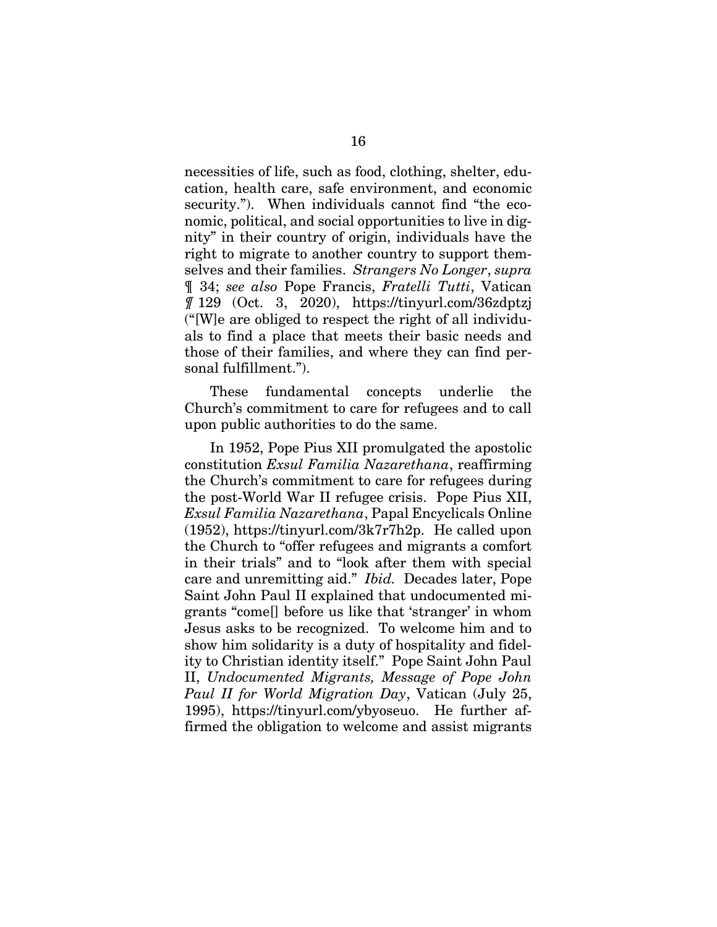necessities of life, such as food, clothing, shelter, education, health care, safe environment, and economic security."). When individuals cannot find "the economic, political, and social opportunities to live in dignity" in their country of origin, individuals have the right to migrate to another country to support themselves and their families. *Strangers No Longer*, *supra* ¶ 34; *see also* Pope Francis, *Fratelli Tutti*, Vatican *¶* 129 (Oct. 3, 2020), https://tinyurl.com/36zdptzj ("[W]e are obliged to respect the right of all individuals to find a place that meets their basic needs and those of their families, and where they can find personal fulfillment.").

 These fundamental concepts underlie the Church's commitment to care for refugees and to call upon public authorities to do the same.

In 1952, Pope Pius XII promulgated the apostolic constitution *Exsul Familia Nazarethana*, reaffirming the Church's commitment to care for refugees during the post-World War II refugee crisis. Pope Pius XII, *Exsul Familia Nazarethana*, Papal Encyclicals Online (1952), https://tinyurl.com/3k7r7h2p. He called upon the Church to "offer refugees and migrants a comfort in their trials" and to "look after them with special care and unremitting aid." *Ibid.* Decades later, Pope Saint John Paul II explained that undocumented migrants "come[] before us like that 'stranger' in whom Jesus asks to be recognized. To welcome him and to show him solidarity is a duty of hospitality and fidelity to Christian identity itself." Pope Saint John Paul II, *Undocumented Migrants, Message of Pope John Paul II for World Migration Day*, Vatican (July 25, 1995), https://tinyurl.com/ybyoseuo. He further affirmed the obligation to welcome and assist migrants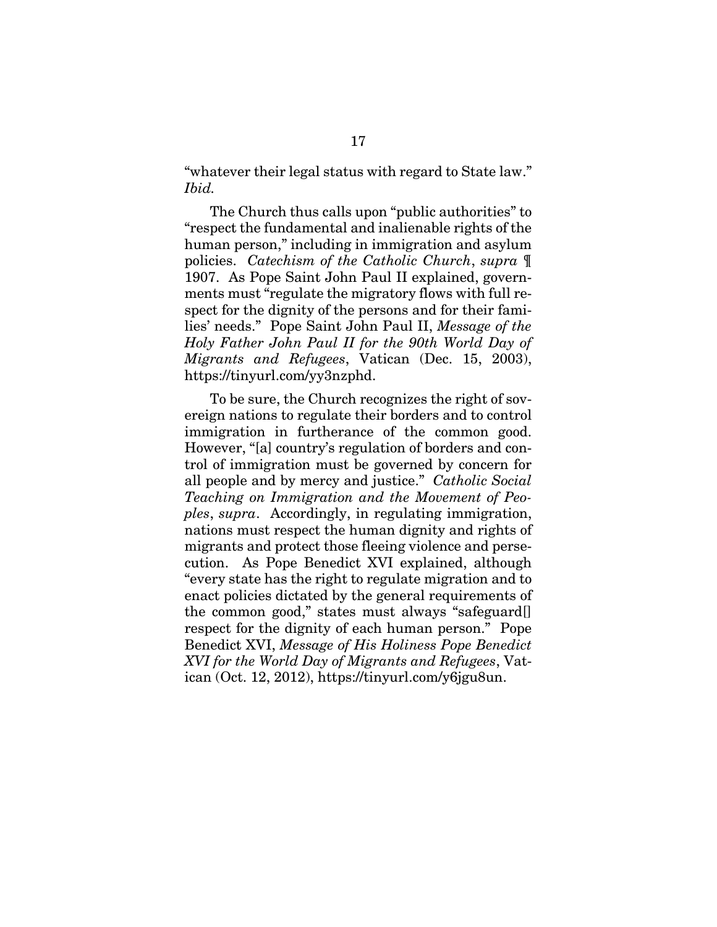"whatever their legal status with regard to State law." *Ibid.*

The Church thus calls upon "public authorities" to "respect the fundamental and inalienable rights of the human person," including in immigration and asylum policies. *Catechism of the Catholic Church*, *supra* ¶ 1907. As Pope Saint John Paul II explained, governments must "regulate the migratory flows with full respect for the dignity of the persons and for their families' needs." Pope Saint John Paul II, *Message of the Holy Father John Paul II for the 90th World Day of Migrants and Refugees*, Vatican (Dec. 15, 2003), https://tinyurl.com/yy3nzphd.

 To be sure, the Church recognizes the right of sovereign nations to regulate their borders and to control immigration in furtherance of the common good. However, "[a] country's regulation of borders and control of immigration must be governed by concern for all people and by mercy and justice." *Catholic Social Teaching on Immigration and the Movement of Peoples*, *supra*. Accordingly, in regulating immigration, nations must respect the human dignity and rights of migrants and protect those fleeing violence and persecution. As Pope Benedict XVI explained, although "every state has the right to regulate migration and to enact policies dictated by the general requirements of the common good," states must always "safeguard[] respect for the dignity of each human person." Pope Benedict XVI, *Message of His Holiness Pope Benedict XVI for the World Day of Migrants and Refugees*, Vatican (Oct. 12, 2012), https://tinyurl.com/y6jgu8un.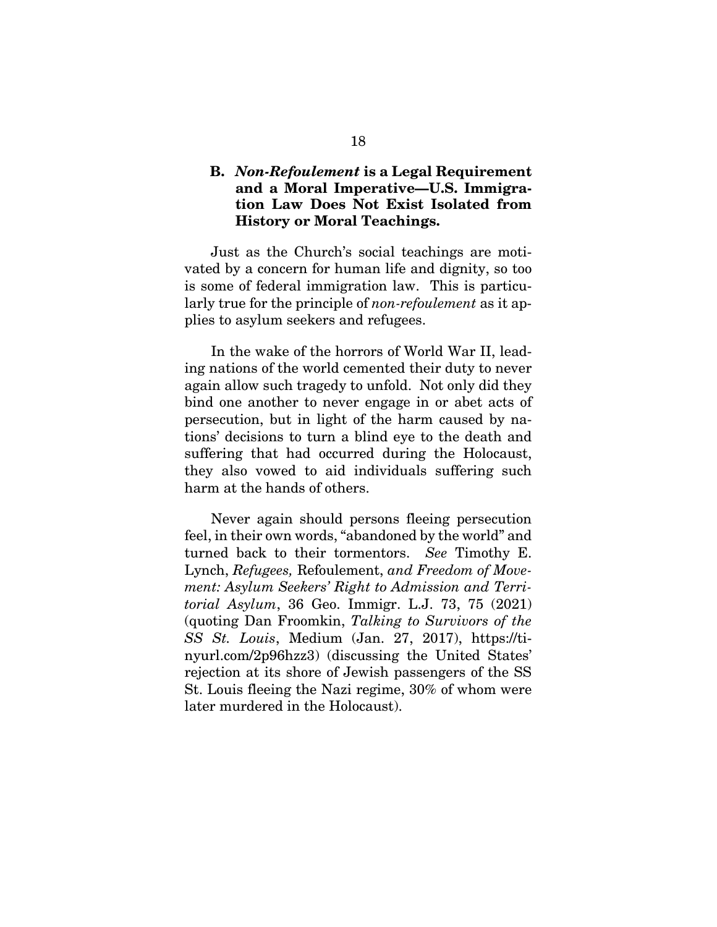## **B.** *Non-Refoulement* **is a Legal Requirement and a Moral Imperative—U.S. Immigration Law Does Not Exist Isolated from History or Moral Teachings.**

Just as the Church's social teachings are motivated by a concern for human life and dignity, so too is some of federal immigration law. This is particularly true for the principle of *non-refoulement* as it applies to asylum seekers and refugees.

In the wake of the horrors of World War II, leading nations of the world cemented their duty to never again allow such tragedy to unfold. Not only did they bind one another to never engage in or abet acts of persecution, but in light of the harm caused by nations' decisions to turn a blind eye to the death and suffering that had occurred during the Holocaust, they also vowed to aid individuals suffering such harm at the hands of others.

Never again should persons fleeing persecution feel, in their own words, "abandoned by the world" and turned back to their tormentors. *See* Timothy E. Lynch, *Refugees,* Refoulement, *and Freedom of Movement: Asylum Seekers' Right to Admission and Territorial Asylum*, 36 Geo. Immigr. L.J. 73, 75 (2021) (quoting Dan Froomkin, *Talking to Survivors of the SS St. Louis*, Medium (Jan. 27, 2017), https://tinyurl.com/2p96hzz3) (discussing the United States' rejection at its shore of Jewish passengers of the SS St. Louis fleeing the Nazi regime, 30% of whom were later murdered in the Holocaust).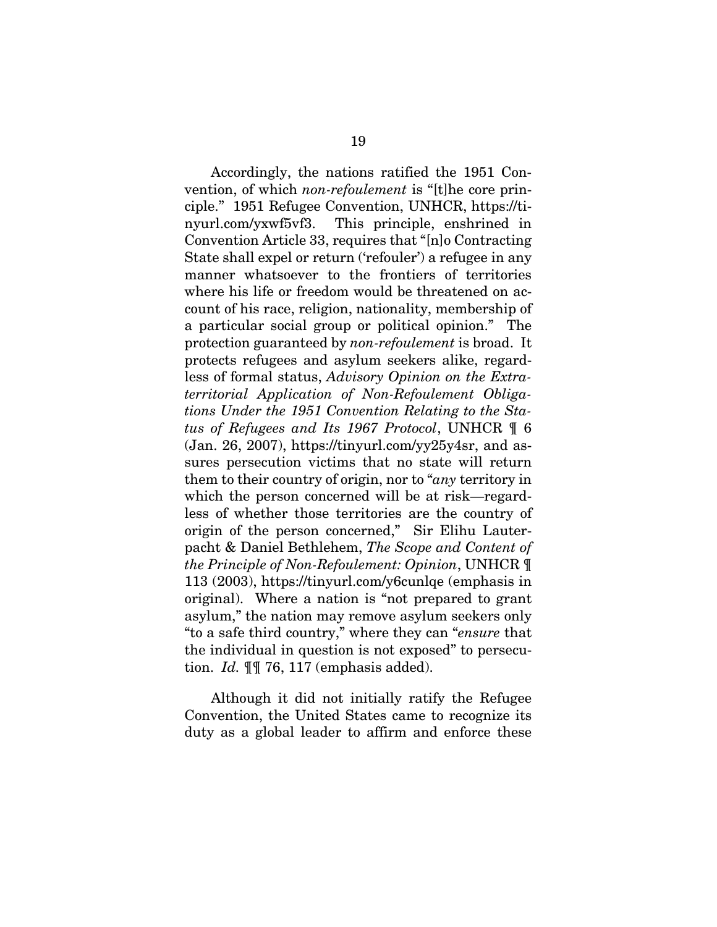Accordingly, the nations ratified the 1951 Convention, of which *non-refoulement* is "[t]he core principle." 1951 Refugee Convention, UNHCR, https://tinyurl.com/yxwf5vf3. This principle, enshrined in Convention Article 33, requires that "[n]o Contracting State shall expel or return ('refouler') a refugee in any manner whatsoever to the frontiers of territories where his life or freedom would be threatened on account of his race, religion, nationality, membership of a particular social group or political opinion." The protection guaranteed by *non-refoulement* is broad. It protects refugees and asylum seekers alike, regardless of formal status, *Advisory Opinion on the Extraterritorial Application of Non-Refoulement Obligations Under the 1951 Convention Relating to the Status of Refugees and Its 1967 Protocol*, UNHCR ¶ 6 (Jan. 26, 2007), https://tinyurl.com/yy25y4sr, and assures persecution victims that no state will return them to their country of origin, nor to "*any* territory in which the person concerned will be at risk—regardless of whether those territories are the country of origin of the person concerned," Sir Elihu Lauterpacht & Daniel Bethlehem, *The Scope and Content of the Principle of Non-Refoulement: Opinion*, UNHCR ¶ 113 (2003), https://tinyurl.com/y6cunlqe (emphasis in original). Where a nation is "not prepared to grant asylum," the nation may remove asylum seekers only "to a safe third country," where they can "*ensure* that the individual in question is not exposed" to persecution. *Id.* ¶¶ 76, 117 (emphasis added).

Although it did not initially ratify the Refugee Convention, the United States came to recognize its duty as a global leader to affirm and enforce these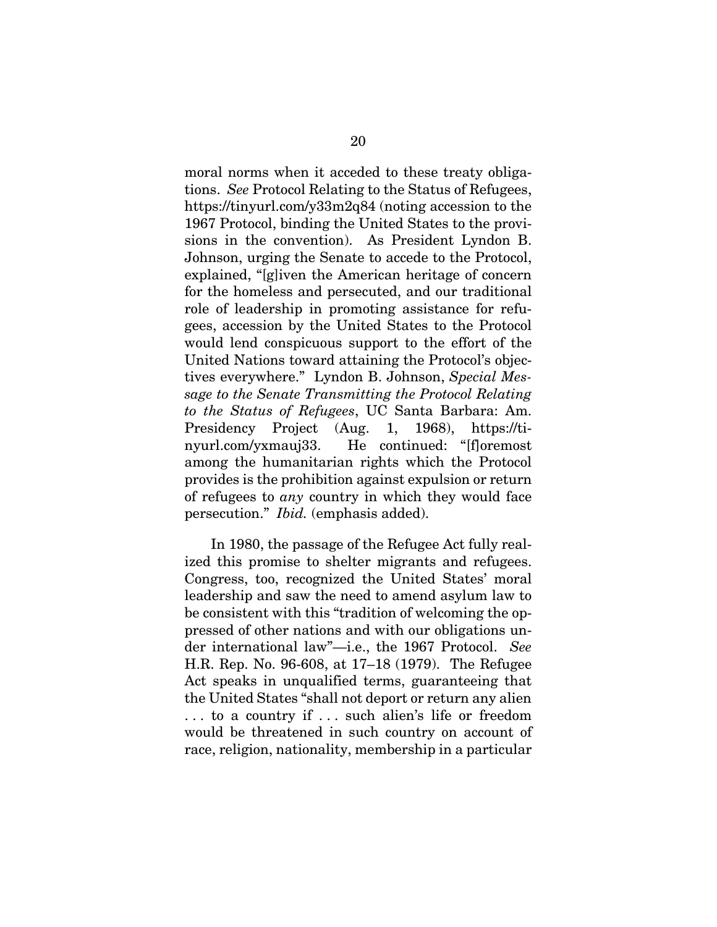moral norms when it acceded to these treaty obligations. *See* Protocol Relating to the Status of Refugees, https://tinyurl.com/y33m2q84 (noting accession to the 1967 Protocol, binding the United States to the provisions in the convention). As President Lyndon B. Johnson, urging the Senate to accede to the Protocol, explained, "[g]iven the American heritage of concern for the homeless and persecuted, and our traditional role of leadership in promoting assistance for refugees, accession by the United States to the Protocol would lend conspicuous support to the effort of the United Nations toward attaining the Protocol's objectives everywhere." Lyndon B. Johnson, *Special Message to the Senate Transmitting the Protocol Relating to the Status of Refugees*, UC Santa Barbara: Am. Presidency Project (Aug. 1, 1968), https://tinyurl.com/yxmauj33. He continued: "[f]oremost among the humanitarian rights which the Protocol provides is the prohibition against expulsion or return of refugees to *any* country in which they would face persecution." *Ibid.* (emphasis added).

In 1980, the passage of the Refugee Act fully realized this promise to shelter migrants and refugees. Congress, too, recognized the United States' moral leadership and saw the need to amend asylum law to be consistent with this "tradition of welcoming the oppressed of other nations and with our obligations under international law"—i.e., the 1967 Protocol. *See*  H.R. Rep. No. 96-608, at 17–18 (1979). The Refugee Act speaks in unqualified terms, guaranteeing that the United States "shall not deport or return any alien . . . to a country if . . . such alien's life or freedom would be threatened in such country on account of race, religion, nationality, membership in a particular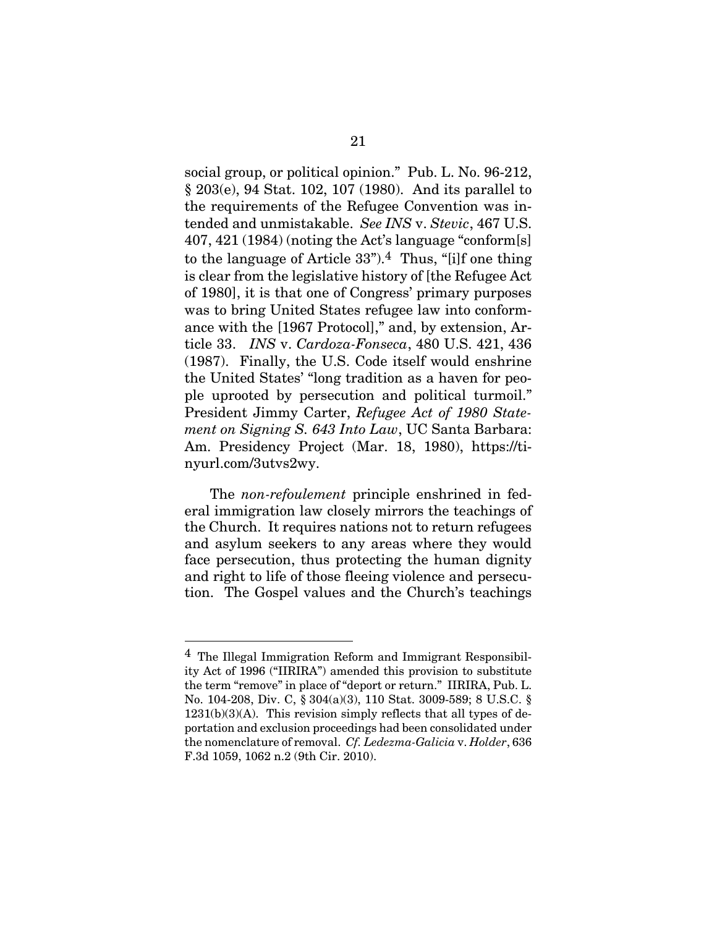social group, or political opinion." Pub. L. No. 96-212, § 203(e), 94 Stat. 102, 107 (1980). And its parallel to the requirements of the Refugee Convention was intended and unmistakable. *See INS* v. *Stevic*, 467 U.S. 407, 421 (1984) (noting the Act's language "conform[s] to the language of Article  $33$ ").<sup>4</sup> Thus, "[i]f one thing is clear from the legislative history of [the Refugee Act of 1980], it is that one of Congress' primary purposes was to bring United States refugee law into conformance with the [1967 Protocol]," and, by extension, Article 33. *INS* v. *Cardoza-Fonseca*, 480 U.S. 421, 436 (1987). Finally, the U.S. Code itself would enshrine the United States' "long tradition as a haven for people uprooted by persecution and political turmoil." President Jimmy Carter, *Refugee Act of 1980 Statement on Signing S. 643 Into Law*, UC Santa Barbara: Am. Presidency Project (Mar. 18, 1980), https://tinyurl.com/3utvs2wy.

The *non-refoulement* principle enshrined in federal immigration law closely mirrors the teachings of the Church. It requires nations not to return refugees and asylum seekers to any areas where they would face persecution, thus protecting the human dignity and right to life of those fleeing violence and persecution. The Gospel values and the Church's teachings

l

<sup>4</sup> The Illegal Immigration Reform and Immigrant Responsibility Act of 1996 ("IIRIRA") amended this provision to substitute the term "remove" in place of "deport or return." IIRIRA, Pub. L. No. 104-208, Div. C, § 304(a)(3), 110 Stat. 3009-589; 8 U.S.C. §  $1231(b)(3)(A)$ . This revision simply reflects that all types of deportation and exclusion proceedings had been consolidated under the nomenclature of removal. *Cf. Ledezma-Galicia* v. *Holder*, 636 F.3d 1059, 1062 n.2 (9th Cir. 2010).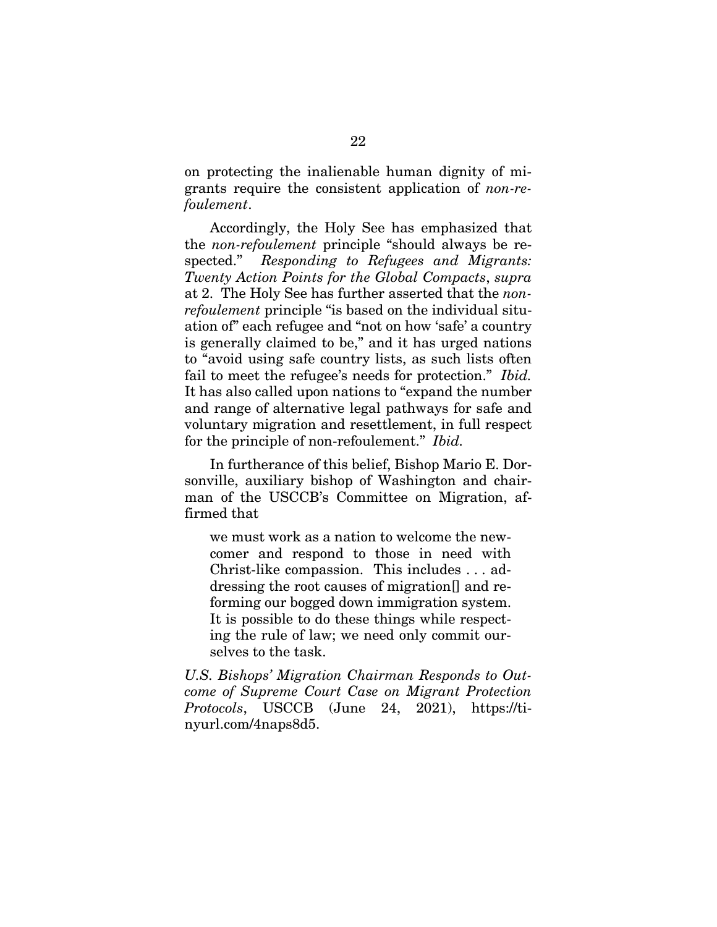on protecting the inalienable human dignity of migrants require the consistent application of *non-refoulement*.

Accordingly, the Holy See has emphasized that the *non-refoulement* principle "should always be respected." *Responding to Refugees and Migrants: Twenty Action Points for the Global Compacts*, *supra* at 2. The Holy See has further asserted that the *nonrefoulement* principle "is based on the individual situation of" each refugee and "not on how 'safe' a country is generally claimed to be," and it has urged nations to "avoid using safe country lists, as such lists often fail to meet the refugee's needs for protection." *Ibid.* It has also called upon nations to "expand the number and range of alternative legal pathways for safe and voluntary migration and resettlement, in full respect for the principle of non-refoulement." *Ibid.*

In furtherance of this belief, Bishop Mario E. Dorsonville, auxiliary bishop of Washington and chairman of the USCCB's Committee on Migration, affirmed that

we must work as a nation to welcome the newcomer and respond to those in need with Christ-like compassion. This includes . . . addressing the root causes of migration[] and reforming our bogged down immigration system. It is possible to do these things while respecting the rule of law; we need only commit ourselves to the task.

*U.S. Bishops' Migration Chairman Responds to Outcome of Supreme Court Case on Migrant Protection Protocols*, USCCB (June 24, 2021), https://tinyurl.com/4naps8d5.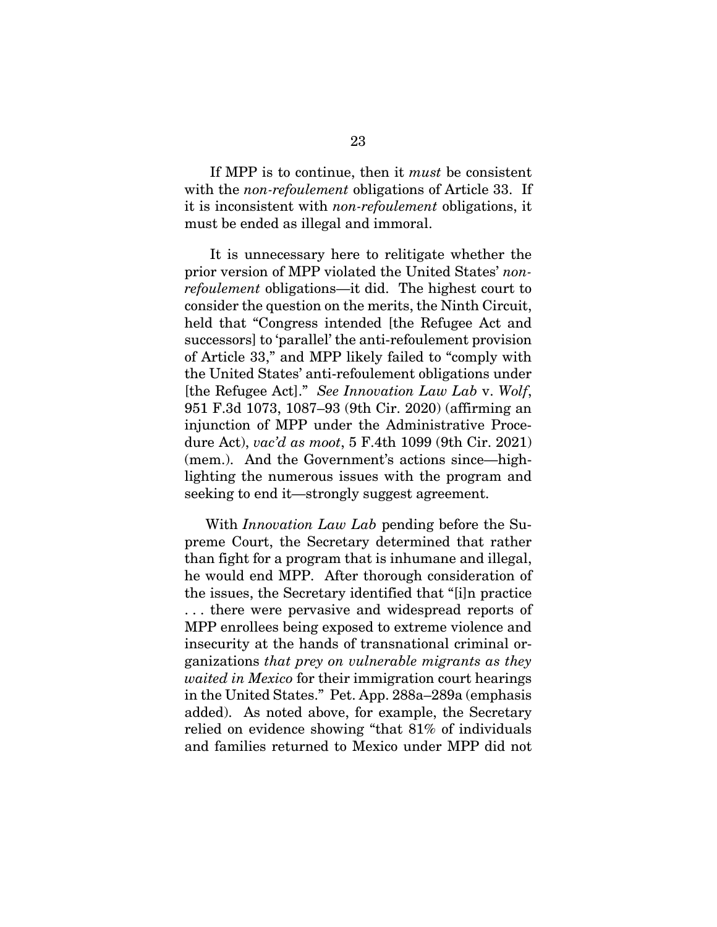If MPP is to continue, then it *must* be consistent with the *non-refoulement* obligations of Article 33. If it is inconsistent with *non-refoulement* obligations, it must be ended as illegal and immoral.

It is unnecessary here to relitigate whether the prior version of MPP violated the United States' *nonrefoulement* obligations—it did. The highest court to consider the question on the merits, the Ninth Circuit, held that "Congress intended [the Refugee Act and successors] to 'parallel' the anti-refoulement provision of Article 33," and MPP likely failed to "comply with the United States' anti-refoulement obligations under [the Refugee Act]." *See Innovation Law Lab* v. *Wolf*, 951 F.3d 1073, 1087–93 (9th Cir. 2020) (affirming an injunction of MPP under the Administrative Procedure Act), *vac'd as moot*, 5 F.4th 1099 (9th Cir. 2021) (mem.). And the Government's actions since—highlighting the numerous issues with the program and seeking to end it—strongly suggest agreement.

With *Innovation Law Lab* pending before the Supreme Court, the Secretary determined that rather than fight for a program that is inhumane and illegal, he would end MPP. After thorough consideration of the issues, the Secretary identified that "[i]n practice . . . there were pervasive and widespread reports of MPP enrollees being exposed to extreme violence and insecurity at the hands of transnational criminal organizations *that prey on vulnerable migrants as they waited in Mexico* for their immigration court hearings in the United States." Pet. App. 288a–289a (emphasis added). As noted above, for example, the Secretary relied on evidence showing "that 81% of individuals and families returned to Mexico under MPP did not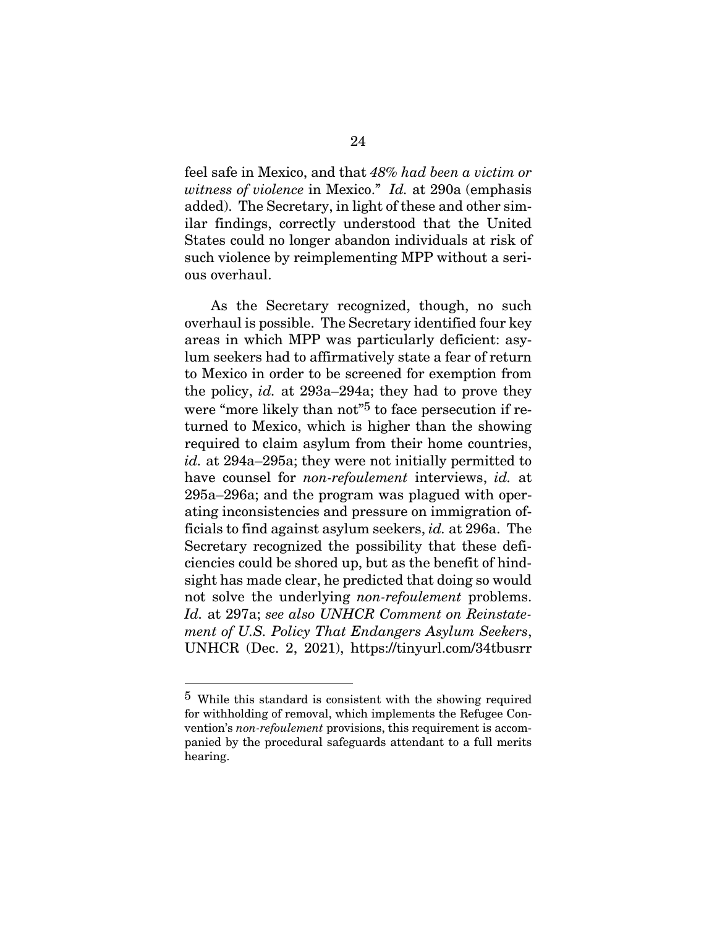feel safe in Mexico, and that *48% had been a victim or witness of violence* in Mexico." *Id.* at 290a (emphasis added). The Secretary, in light of these and other similar findings, correctly understood that the United States could no longer abandon individuals at risk of such violence by reimplementing MPP without a serious overhaul.

As the Secretary recognized, though, no such overhaul is possible. The Secretary identified four key areas in which MPP was particularly deficient: asylum seekers had to affirmatively state a fear of return to Mexico in order to be screened for exemption from the policy, *id.* at 293a–294a; they had to prove they were "more likely than not"<sup>5</sup> to face persecution if returned to Mexico, which is higher than the showing required to claim asylum from their home countries, *id.* at 294a–295a; they were not initially permitted to have counsel for *non-refoulement* interviews, *id.* at 295a–296a; and the program was plagued with operating inconsistencies and pressure on immigration officials to find against asylum seekers, *id.* at 296a. The Secretary recognized the possibility that these deficiencies could be shored up, but as the benefit of hindsight has made clear, he predicted that doing so would not solve the underlying *non-refoulement* problems. *Id.* at 297a; *see also UNHCR Comment on Reinstatement of U.S. Policy That Endangers Asylum Seekers*, UNHCR (Dec. 2, 2021), https://tinyurl.com/34tbusrr

 $\overline{a}$ 

<sup>5</sup> While this standard is consistent with the showing required for withholding of removal, which implements the Refugee Convention's *non-refoulement* provisions, this requirement is accompanied by the procedural safeguards attendant to a full merits hearing.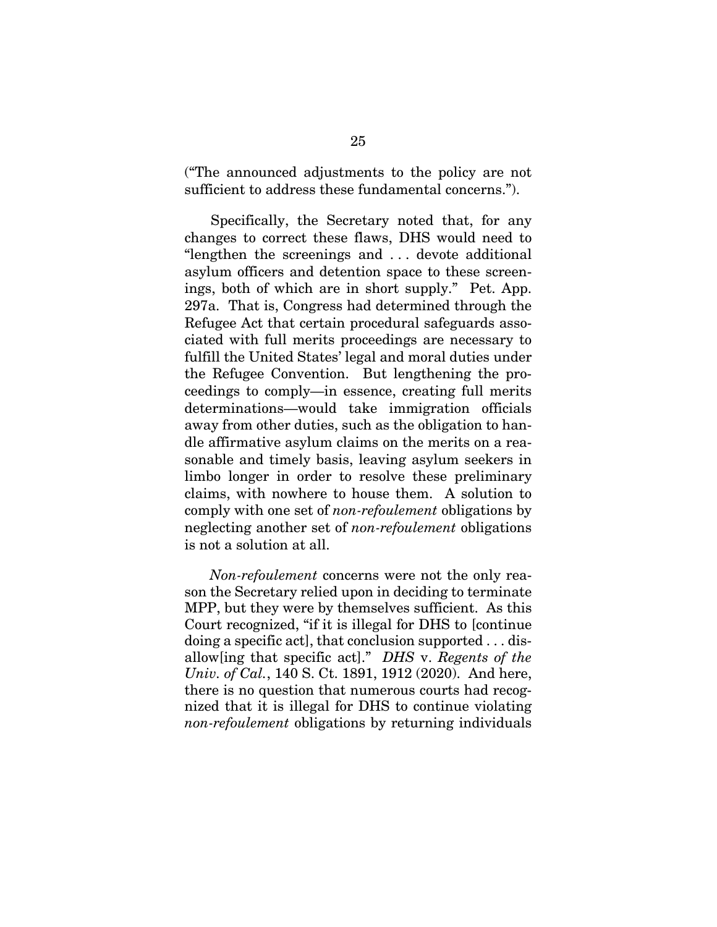("The announced adjustments to the policy are not sufficient to address these fundamental concerns.").

Specifically, the Secretary noted that, for any changes to correct these flaws, DHS would need to "lengthen the screenings and . . . devote additional asylum officers and detention space to these screenings, both of which are in short supply." Pet. App. 297a. That is, Congress had determined through the Refugee Act that certain procedural safeguards associated with full merits proceedings are necessary to fulfill the United States' legal and moral duties under the Refugee Convention. But lengthening the proceedings to comply—in essence, creating full merits determinations—would take immigration officials away from other duties, such as the obligation to handle affirmative asylum claims on the merits on a reasonable and timely basis, leaving asylum seekers in limbo longer in order to resolve these preliminary claims, with nowhere to house them. A solution to comply with one set of *non-refoulement* obligations by neglecting another set of *non-refoulement* obligations is not a solution at all.

*Non-refoulement* concerns were not the only reason the Secretary relied upon in deciding to terminate MPP, but they were by themselves sufficient. As this Court recognized, "if it is illegal for DHS to [continue doing a specific act], that conclusion supported . . . disallow[ing that specific act]." *DHS* v. *Regents of the Univ. of Cal.*, 140 S. Ct. 1891, 1912 (2020). And here, there is no question that numerous courts had recognized that it is illegal for DHS to continue violating *non-refoulement* obligations by returning individuals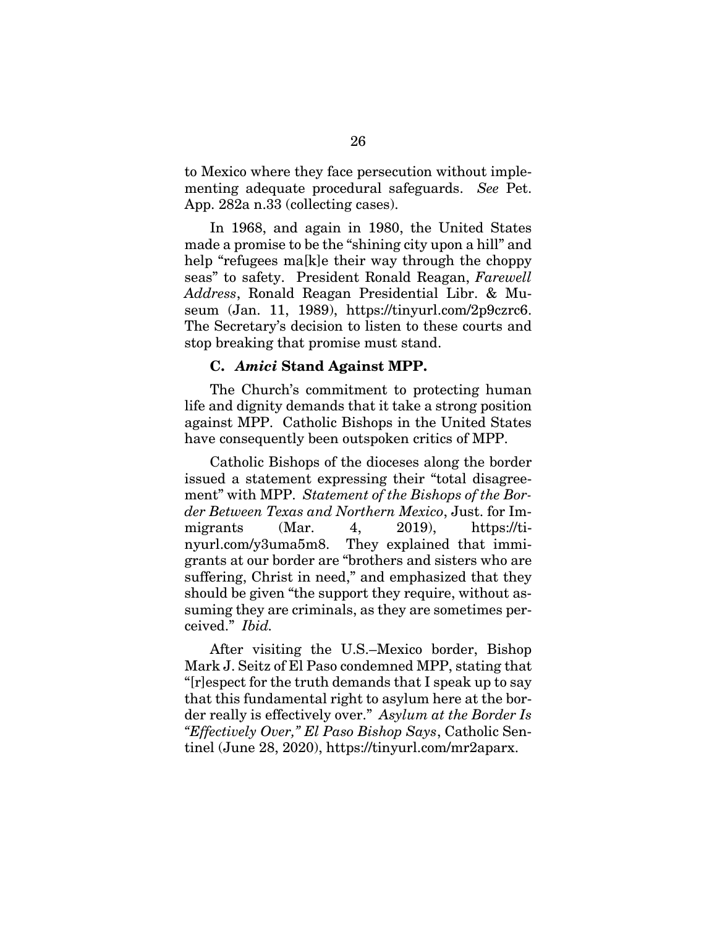to Mexico where they face persecution without implementing adequate procedural safeguards. *See* Pet. App. 282a n.33 (collecting cases).

In 1968, and again in 1980, the United States made a promise to be the "shining city upon a hill" and help "refugees ma[k]e their way through the choppy seas" to safety. President Ronald Reagan, *Farewell Address*, Ronald Reagan Presidential Libr. & Museum (Jan. 11, 1989), https://tinyurl.com/2p9czrc6. The Secretary's decision to listen to these courts and stop breaking that promise must stand.

#### **C.** *Amici* **Stand Against MPP.**

The Church's commitment to protecting human life and dignity demands that it take a strong position against MPP. Catholic Bishops in the United States have consequently been outspoken critics of MPP.

Catholic Bishops of the dioceses along the border issued a statement expressing their "total disagreement" with MPP. *Statement of the Bishops of the Border Between Texas and Northern Mexico*, Just. for Immigrants (Mar. 4, 2019), https://tinyurl.com/y3uma5m8. They explained that immigrants at our border are "brothers and sisters who are suffering, Christ in need," and emphasized that they should be given "the support they require, without assuming they are criminals, as they are sometimes perceived." *Ibid.*

After visiting the U.S.–Mexico border, Bishop Mark J. Seitz of El Paso condemned MPP, stating that "[r]espect for the truth demands that I speak up to say that this fundamental right to asylum here at the border really is effectively over." *Asylum at the Border Is "Effectively Over," El Paso Bishop Says*, Catholic Sentinel (June 28, 2020), https://tinyurl.com/mr2aparx.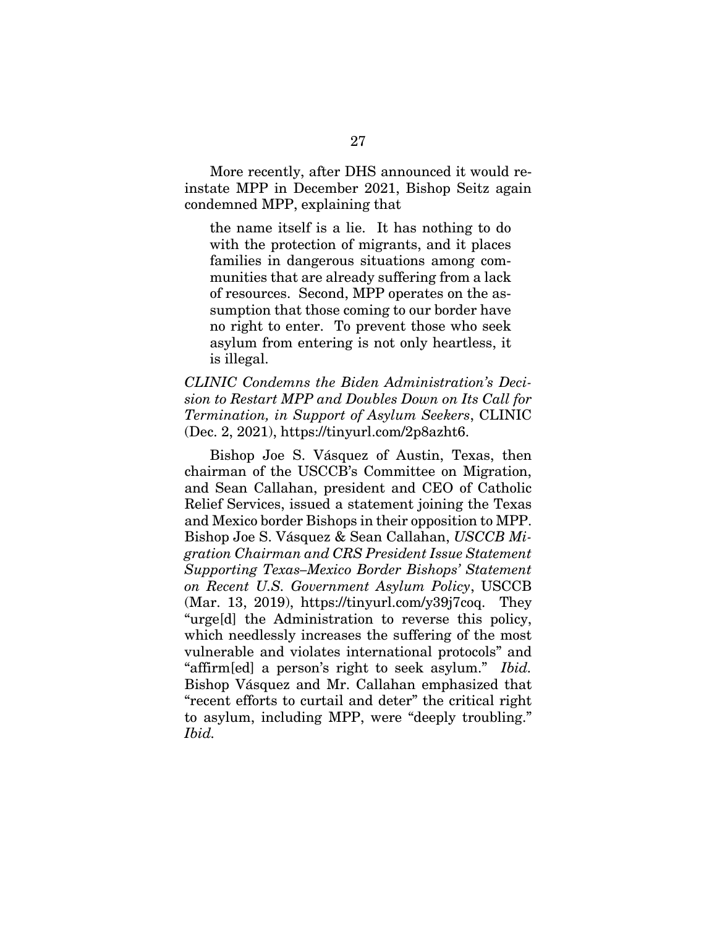More recently, after DHS announced it would reinstate MPP in December 2021, Bishop Seitz again condemned MPP, explaining that

the name itself is a lie. It has nothing to do with the protection of migrants, and it places families in dangerous situations among communities that are already suffering from a lack of resources. Second, MPP operates on the assumption that those coming to our border have no right to enter. To prevent those who seek asylum from entering is not only heartless, it is illegal.

*CLINIC Condemns the Biden Administration's Decision to Restart MPP and Doubles Down on Its Call for Termination, in Support of Asylum Seekers*, CLINIC (Dec. 2, 2021), https://tinyurl.com/2p8azht6.

Bishop Joe S. Vásquez of Austin, Texas, then chairman of the USCCB's Committee on Migration, and Sean Callahan, president and CEO of Catholic Relief Services, issued a statement joining the Texas and Mexico border Bishops in their opposition to MPP. Bishop Joe S. Vásquez & Sean Callahan, *USCCB Migration Chairman and CRS President Issue Statement Supporting Texas–Mexico Border Bishops' Statement on Recent U.S. Government Asylum Policy*, USCCB (Mar. 13, 2019), https://tinyurl.com/y39j7coq. They "urge[d] the Administration to reverse this policy, which needlessly increases the suffering of the most vulnerable and violates international protocols" and "affirm[ed] a person's right to seek asylum." *Ibid.* Bishop Vásquez and Mr. Callahan emphasized that "recent efforts to curtail and deter" the critical right to asylum, including MPP, were "deeply troubling." *Ibid.*